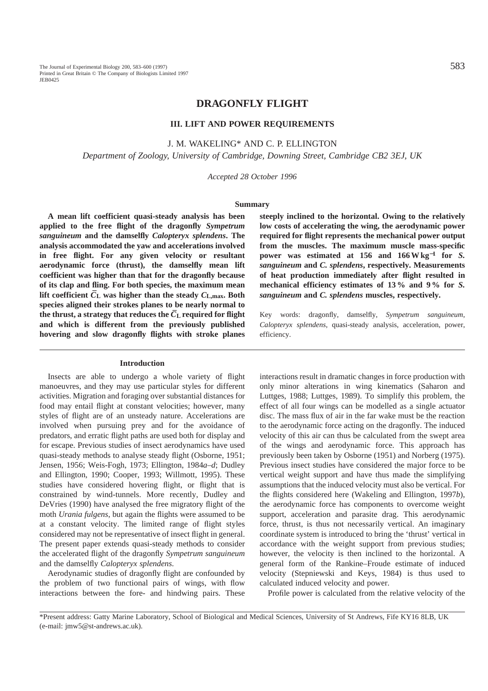# **III. LIFT AND POWER REQUIREMENTS**

J. M. WAKELING\* AND C. P. ELLINGTON

*Department of Zoology, University of Cambridge, Downing Street, Cambridge CB2 3EJ, UK*

*Accepted 28 October 1996*

### **Summary**

**A mean lift coefficient quasi-steady analysis has been applied to the free flight of the dragonfly** *Sympetrum sanguineum* **and the damselfly** *Calopteryx splendens***. The analysis accommodated the yaw and accelerations involved in free flight. For any given velocity or resultant aerodynamic force (thrust), the damselfly mean lift coefficient was higher than that for the dragonfly because of its clap and fling. For both species, the maximum mean** lift coefficient  $\overline{C}_L$  was higher than the steady  $C_{L,\text{max}}$ . Both **species aligned their strokes planes to be nearly normal to** the thrust, a strategy that reduces the  $\overline{C}_{L}$  required for flight **and which is different from the previously published hovering and slow dragonfly flights with stroke planes**

#### **Introduction**

Insects are able to undergo a whole variety of flight manoeuvres, and they may use particular styles for different activities. Migration and foraging over substantial distances for food may entail flight at constant velocities; however, many styles of flight are of an unsteady nature. Accelerations are involved when pursuing prey and for the avoidance of predators, and erratic flight paths are used both for display and for escape. Previous studies of insect aerodynamics have used quasi-steady methods to analyse steady flight (Osborne, 1951; Jensen, 1956; Weis-Fogh, 1973; Ellington, 1984*a*–*d*; Dudley and Ellington, 1990; Cooper, 1993; Willmott, 1995). These studies have considered hovering flight, or flight that is constrained by wind-tunnels. More recently, Dudley and DeVries (1990) have analysed the free migratory flight of the moth *Urania fulgens*, but again the flights were assumed to be at a constant velocity. The limited range of flight styles considered may not be representative of insect flight in general. The present paper extends quasi-steady methods to consider the accelerated flight of the dragonfly *Sympetrum sanguineum* and the damselfly *Calopteryx splendens*.

Aerodynamic studies of dragonfly flight are confounded by the problem of two functional pairs of wings, with flow interactions between the fore- and hindwing pairs. These **steeply inclined to the horizontal. Owing to the relatively low costs of accelerating the wing, the aerodynamic power required for flight represents the mechanical power output from the muscles. The maximum muscle mass-specific power was estimated at 156 and 166 W kg**−**<sup>1</sup> for** *S. sanguineum* **and** *C. splendens***, respectively. Measurements of heat production immediately after flight resulted in mechanical efficiency estimates of 13 % and 9 % for** *S. sanguineum* **and** *C. splendens* **muscles, respectively.**

Key words: dragonfly, damselfly, *Sympetrum sanguineum*, *Calopteryx splendens*, quasi-steady analysis, acceleration, power, efficiency.

interactions result in dramatic changes in force production with only minor alterations in wing kinematics (Saharon and Luttges, 1988; Luttges, 1989). To simplify this problem, the effect of all four wings can be modelled as a single actuator disc. The mass flux of air in the far wake must be the reaction to the aerodynamic force acting on the dragonfly. The induced velocity of this air can thus be calculated from the swept area of the wings and aerodynamic force. This approach has previously been taken by Osborne (1951) and Norberg (1975). Previous insect studies have considered the major force to be vertical weight support and have thus made the simplifying assumptions that the induced velocity must also be vertical. For the flights considered here (Wakeling and Ellington, 1997*b*), the aerodynamic force has components to overcome weight support, acceleration and parasite drag. This aerodynamic force, thrust, is thus not necessarily vertical. An imaginary coordinate system is introduced to bring the 'thrust' vertical in accordance with the weight support from previous studies; however, the velocity is then inclined to the horizontal. A general form of the Rankine–Froude estimate of induced velocity (Stepniewski and Keys, 1984) is thus used to calculated induced velocity and power.

Profile power is calculated from the relative velocity of the

<sup>\*</sup>Present address: Gatty Marine Laboratory, School of Biological and Medical Sciences, University of St Andrews, Fife KY16 8LB, UK (e-mail: jmw5@st-andrews.ac.uk).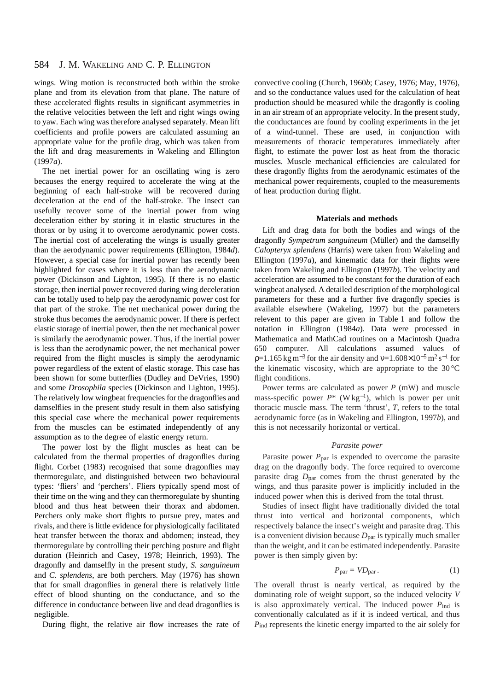wings. Wing motion is reconstructed both within the stroke plane and from its elevation from that plane. The nature of these accelerated flights results in significant asymmetries in the relative velocities between the left and right wings owing to yaw. Each wing was therefore analysed separately. Mean lift coefficients and profile powers are calculated assuming an appropriate value for the profile drag, which was taken from the lift and drag measurements in Wakeling and Ellington (1997*a*).

The net inertial power for an oscillating wing is zero becauses the energy required to accelerate the wing at the beginning of each half-stroke will be recovered during deceleration at the end of the half-stroke. The insect can usefully recover some of the inertial power from wing deceleration either by storing it in elastic structures in the thorax or by using it to overcome aerodynamic power costs. The inertial cost of accelerating the wings is usually greater than the aerodynamic power requirements (Ellington, 1984*d*). However, a special case for inertial power has recently been highlighted for cases where it is less than the aerodynamic power (Dickinson and Lighton, 1995). If there is no elastic storage, then inertial power recovered during wing deceleration can be totally used to help pay the aerodynamic power cost for that part of the stroke. The net mechanical power during the stroke thus becomes the aerodynamic power. If there is perfect elastic storage of inertial power, then the net mechanical power is similarly the aerodynamic power. Thus, if the inertial power is less than the aerodynamic power, the net mechanical power required from the flight muscles is simply the aerodynamic power regardless of the extent of elastic storage. This case has been shown for some butterflies (Dudley and DeVries, 1990) and some *Drosophila* species (Dickinson and Lighton, 1995). The relatively low wingbeat frequencies for the dragonflies and damselflies in the present study result in them also satisfying this special case where the mechanical power requirements from the muscles can be estimated independently of any assumption as to the degree of elastic energy return.

The power lost by the flight muscles as heat can be calculated from the thermal properties of dragonflies during flight. Corbet (1983) recognised that some dragonflies may thermoregulate, and distinguished between two behavioural types: 'fliers' and 'perchers'. Fliers typically spend most of their time on the wing and they can thermoregulate by shunting blood and thus heat between their thorax and abdomen. Perchers only make short flights to pursue prey, mates and rivals, and there is little evidence for physiologically facilitated heat transfer between the thorax and abdomen; instead, they thermoregulate by controlling their perching posture and flight duration (Heinrich and Casey, 1978; Heinrich, 1993). The dragonfly and damselfly in the present study, *S. sanguineum* and *C. splendens*, are both perchers. May (1976) has shown that for small dragonflies in general there is relatively little effect of blood shunting on the conductance, and so the difference in conductance between live and dead dragonflies is negligible.

During flight, the relative air flow increases the rate of

convective cooling (Church, 1960*b*; Casey, 1976; May, 1976), and so the conductance values used for the calculation of heat production should be measured while the dragonfly is cooling in an air stream of an appropriate velocity. In the present study, the conductances are found by cooling experiments in the jet of a wind-tunnel. These are used, in conjunction with measurements of thoracic temperatures immediately after flight, to estimate the power lost as heat from the thoracic muscles. Muscle mechanical efficiencies are calculated for these dragonfly flights from the aerodynamic estimates of the mechanical power requirements, coupled to the measurements of heat production during flight.

## **Materials and methods**

Lift and drag data for both the bodies and wings of the dragonfly *Sympetrum sanguineum* (Müller) and the damselfly *Calopteryx splendens* (Harris) were taken from Wakeling and Ellington (1997*a*), and kinematic data for their flights were taken from Wakeling and Ellington (1997*b*). The velocity and acceleration are assumed to be constant for the duration of each wingbeat analysed. A detailed description of the morphological parameters for these and a further five dragonfly species is available elsewhere (Wakeling, 1997) but the parameters relevent to this paper are given in Table 1 and follow the notation in Ellington (1984*a*). Data were processed in Mathematica and MathCad routines on a Macintosh Quadra 650 computer. All calculations assumed values of  $p=1.165$  kg m<sup>-3</sup> for the air density and v=1.608×10<sup>-5</sup> m<sup>2</sup> s<sup>-1</sup> for the kinematic viscosity, which are appropriate to the 30 °C flight conditions.

Power terms are calculated as power *P* (mW) and muscle mass-specific power  $P^*$  (Wkg<sup>-1</sup>), which is power per unit thoracic muscle mass. The term 'thrust', *T*, refers to the total aerodynamic force (as in Wakeling and Ellington, 1997*b*), and this is not necessarily horizontal or vertical.

# *Parasite power*

Parasite power *P*<sub>par</sub> is expended to overcome the parasite drag on the dragonfly body. The force required to overcome parasite drag *D*par comes from the thrust generated by the wings, and thus parasite power is implicitly included in the induced power when this is derived from the total thrust.

Studies of insect flight have traditionally divided the total thrust into vertical and horizontal components, which respectively balance the insect's weight and parasite drag. This is a convenient division because  $D<sub>par</sub>$  is typically much smaller than the weight, and it can be estimated independently. Parasite power is then simply given by:

$$
P_{\text{par}} = V D_{\text{par}}. \tag{1}
$$

The overall thrust is nearly vertical, as required by the dominating role of weight support, so the induced velocity *V* is also approximately vertical. The induced power  $P_{ind}$  is conventionally calculated as if it is indeed vertical, and thus *P*<sub>ind</sub> represents the kinetic energy imparted to the air solely for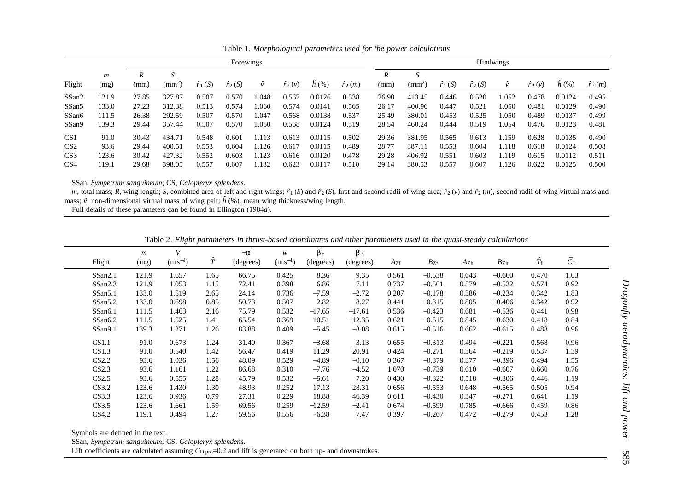|                 |                          | Forewings |                    |                |                |       |                |        | Hindwings      |           |                          |                |                |       |                |        |                |
|-----------------|--------------------------|-----------|--------------------|----------------|----------------|-------|----------------|--------|----------------|-----------|--------------------------|----------------|----------------|-------|----------------|--------|----------------|
| Flight          | $\boldsymbol{m}$<br>(mg) | R<br>(mm) | (mm <sup>2</sup> ) | $\hat{r}_1(S)$ | $\hat{r}_2(S)$ | ν     | $\hat{r}_2(v)$ | h(%)   | $\hat{r}_2(m)$ | R<br>(mm) | د،<br>(mm <sup>2</sup> ) | $\hat{r}_1(S)$ | $\hat{r}_2(S)$ | ν     | $\hat{r}_2(v)$ | h(%)   | $\hat{r}_2(m)$ |
| SSan2           | 121.9                    | 27.85     | 327.87             | 0.507          | 0.570          | .048  | 0.567          | 0.0126 | 0.538          | 26.90     | 413.45                   | 0.446          | 0.520          | 1.052 | 0.478          | 0.0124 | 0.495          |
| SSan5           | 133.0                    | 27.23     | 312.38             | 0.513          | 0.574          | .060  | 0.574          | 0.0141 | 0.565          | 26.17     | 400.96                   | 0.447          | 0.521          | 1.050 | 0.481          | 0.0129 | 0.490          |
| SSan6           | 111.5                    | 26.38     | 292.59             | 0.507          | 0.570          | l.047 | 0.568          | 0.0138 | 0.537          | 25.49     | 380.01                   | 0.453          | 0.525          | 1.050 | 0.489          | 0.0137 | 0.499          |
| SSan9           | 139.3                    | 29.44     | 357.44             | 0.507          | 0.570          | .050  | 0.568          | 0.0124 | 0.519          | 28.54     | 460.24                   | 0.444          | 0.519          | 1.054 | 0.476          | 0.0123 | 0.481          |
| CS <sub>1</sub> | 91.0                     | 30.43     | 434.71             | 0.548          | 0.601          | 1.113 | 0.613          | 0.0115 | 0.502          | 29.36     | 381.95                   | 0.565          | 0.613          | 1.159 | 0.628          | 0.0135 | 0.490          |
| CS <sub>2</sub> | 93.6                     | 29.44     | 400.51             | 0.553          | 0.604          | 1.126 | 0.617          | 0.0115 | 0.489          | 28.77     | 387.11                   | 0.553          | 0.604          | 1.118 | 0.618          | 0.0124 | 0.508          |
| CS <sub>3</sub> | 123.6                    | 30.42     | 427.32             | 0.552          | 0.603          | .123  | 0.616          | 0.0120 | 0.478          | 29.28     | 406.92                   | 0.551          | 0.603          | 1.119 | 0.615          | 0.0112 | 0.511          |
| CS <sub>4</sub> | 119.1                    | 29.68     | 398.05             | 0.557          | 0.607          | .132  | 0.623          | 0.0117 | 0.510          | 29.14     | 380.53                   | 0.557          | 0.607          | 1.126 | 0.622          | 0.0125 | 0.500          |

Table 1. *Morphological parameters used for the power calculations*

SSan, *Sympetrum sanguineum*; CS, *Calopteryx splendens*.

m, total mass; R, wing length; S, combined area of left and right wings;  $\hat{r}_1(S)$  and  $\hat{r}_2(S)$ , first and second radii of wing area;  $\hat{r}_2(v)$  and  $\hat{r}_2(m)$ , second radii of wing virtual mass and mass;  $\hat{v}$ , non-dimensional virtual mass of wing pair;  $\hat{h}$  (%), mean wing thickness/wing length.

Full details of these parameters can be found in Ellington (1984*a*).

| Table 2. Flight parameters in thrust-based coordinates and other parameters used in the quasi-steady calculations |  |
|-------------------------------------------------------------------------------------------------------------------|--|
|-------------------------------------------------------------------------------------------------------------------|--|

| Flight              | $\mathfrak{m}$<br>(mg) | V<br>$(m s^{-1})$ | $\hat{T}$ | $-\alpha'$<br>(degrees) | w<br>$(m s^{-1})$ | $\beta'$ f<br>(degrees) | $\beta'$ <sub>h</sub><br>(degrees) | $A_{Zf}$ | $B_{Zf}$ | $A_{\rm Zh}$ | $B_{\rm Zh}$ | $\hat{T}_{\rm f}$ | $\overline{C}_{\rm L}$ |
|---------------------|------------------------|-------------------|-----------|-------------------------|-------------------|-------------------------|------------------------------------|----------|----------|--------------|--------------|-------------------|------------------------|
| SSan2.1             | 121.9                  | 1.657             | 1.65      | 66.75                   | 0.425             | 8.36                    | 9.35                               | 0.561    | $-0.538$ | 0.643        | $-0.660$     | 0.470             | 1.03                   |
| SSan2.3             | 121.9                  | 1.053             | 1.15      | 72.41                   | 0.398             | 6.86                    | 7.11                               | 0.737    | $-0.501$ | 0.579        | $-0.522$     | 0.574             | 0.92                   |
| SSan <sub>5.1</sub> | 133.0                  | 1.519             | 2.65      | 24.14                   | 0.736             | $-7.59$                 | $-2.72$                            | 0.207    | $-0.178$ | 0.386        | $-0.234$     | 0.342             | 1.83                   |
| SSan <sub>5.2</sub> | 133.0                  | 0.698             | 0.85      | 50.73                   | 0.507             | 2.82                    | 8.27                               | 0.441    | $-0.315$ | 0.805        | $-0.406$     | 0.342             | 0.92                   |
| SSan6.1             | 111.5                  | 1.463             | 2.16      | 75.79                   | 0.532             | $-17.65$                | $-17.61$                           | 0.536    | $-0.423$ | 0.681        | $-0.536$     | 0.441             | 0.98                   |
| SSan6.2             | 111.5                  | 1.525             | 1.41      | 65.54                   | 0.369             | $-10.51$                | $-12.35$                           | 0.621    | $-0.515$ | 0.845        | $-0.630$     | 0.418             | 0.84                   |
| SSan9.1             | 139.3                  | 1.271             | 1.26      | 83.88                   | 0.409             | $-5.45$                 | $-3.08$                            | 0.615    | $-0.516$ | 0.662        | $-0.615$     | 0.488             | 0.96                   |
| CS1.1               | 91.0                   | 0.673             | 1.24      | 31.40                   | 0.367             | $-3.68$                 | 3.13                               | 0.655    | $-0.313$ | 0.494        | $-0.221$     | 0.568             | 0.96                   |
| CS1.3               | 91.0                   | 0.540             | 1.42      | 56.47                   | 0.419             | 11.29                   | 20.91                              | 0.424    | $-0.271$ | 0.364        | $-0.219$     | 0.537             | 1.39                   |
| CS2.2               | 93.6                   | 1.036             | 1.56      | 48.09                   | 0.529             | $-4.89$                 | $-0.10$                            | 0.367    | $-0.379$ | 0.377        | $-0.396$     | 0.494             | 1.55                   |
| CS2.3               | 93.6                   | 1.161             | 1.22      | 86.68                   | 0.310             | $-7.76$                 | $-4.52$                            | 1.070    | $-0.739$ | 0.610        | $-0.607$     | 0.660             | 0.76                   |
| CS2.5               | 93.6                   | 0.555             | 1.28      | 45.79                   | 0.532             | $-5.61$                 | 7.20                               | 0.430    | $-0.322$ | 0.518        | $-0.306$     | 0.446             | 1.19                   |
| CS3.2               | 123.6                  | 1.430             | 1.30      | 48.93                   | 0.252             | 17.13                   | 28.31                              | 0.656    | $-0.553$ | 0.648        | $-0.565$     | 0.505             | 0.94                   |
| CS3.3               | 123.6                  | 0.936             | 0.79      | 27.31                   | 0.229             | 18.88                   | 46.39                              | 0.611    | $-0.430$ | 0.347        | $-0.271$     | 0.641             | 1.19                   |
| CS3.5               | 123.6                  | 1.661             | 1.59      | 69.56                   | 0.259             | $-12.59$                | $-2.41$                            | 0.674    | $-0.599$ | 0.785        | $-0.666$     | 0.459             | 0.86                   |
| CS4.2               | 119.1                  | 0.494             | 1.27      | 59.56                   | 0.556             | $-6.38$                 | 7.47                               | 0.397    | $-0.267$ | 0.472        | $-0.279$     | 0.453             | 1.28                   |

Symbols are defined in the text. SSan, *Sympetrum sanguineum*; CS, *Calopteryx splendens*.

Lift coefficients are calculated assuming  $C_{D,pro} = 0.2$  and lift is generated on both up- and downstrokes.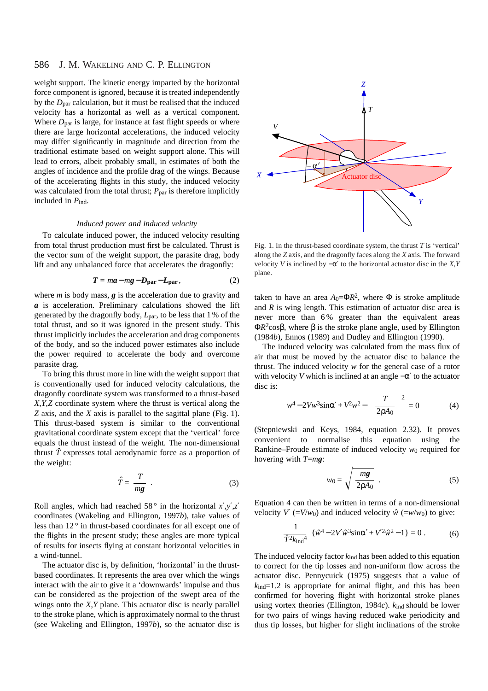weight support. The kinetic energy imparted by the horizontal force component is ignored, because it is treated independently by the *D*par calculation, but it must be realised that the induced velocity has a horizontal as well as a vertical component. Where  $D_{\text{par}}$  is large, for instance at fast flight speeds or where there are large horizontal accelerations, the induced velocity may differ significantly in magnitude and direction from the traditional estimate based on weight support alone. This will lead to errors, albeit probably small, in estimates of both the angles of incidence and the profile drag of the wings. Because of the accelerating flights in this study, the induced velocity was calculated from the total thrust;  $P_{\text{par}}$  is therefore implicitly included in *P*ind.

# *Induced power and induced velocity*

To calculate induced power, the induced velocity resulting from total thrust production must first be calculated. Thrust is the vector sum of the weight support, the parasite drag, body lift and any unbalanced force that accelerates the dragonfly:

$$
T = ma - mg - D_{par} - L_{par}, \qquad (2)
$$

where *m* is body mass, **g** is the acceleration due to gravity and *a* is acceleration. Preliminary calculations showed the lift generated by the dragonfly body, *L*par, to be less that 1 % of the total thrust, and so it was ignored in the present study. This thrust implicitly includes the acceleration and drag components of the body, and so the induced power estimates also include the power required to accelerate the body and overcome parasite drag.

To bring this thrust more in line with the weight support that is conventionally used for induced velocity calculations, the dragonfly coordinate system was transformed to a thrust-based *X*,*Y*,*Z* coordinate system where the thrust is vertical along the *Z* axis, and the *X* axis is parallel to the sagittal plane (Fig. 1). This thrust-based system is similar to the conventional gravitational coordinate system except that the 'vertical' force equals the thrust instead of the weight. The non-dimensional thrust  $\hat{T}$  expresses total aerodynamic force as a proportion of the weight:

$$
\hat{T} = \frac{T}{mg} \tag{3}
$$

Roll angles, which had reached 58 $\degree$  in the horizontal *x'*,*y'*,*z'* coordinates (Wakeling and Ellington, 1997*b*), take values of less than 12 ° in thrust-based coordinates for all except one of the flights in the present study; these angles are more typical of results for insects flying at constant horizontal velocities in a wind-tunnel.

The actuator disc is, by definition, 'horizontal' in the thrustbased coordinates. It represents the area over which the wings interact with the air to give it a 'downwards' impulse and thus can be considered as the projection of the swept area of the wings onto the *X*,*Y* plane. This actuator disc is nearly parallel to the stroke plane, which is approximately normal to the thrust (see Wakeling and Ellington, 1997*b*), so the actuator disc is



Fig. 1. In the thrust-based coordinate system, the thrust *T* is 'vertical' along the *Z* axis, and the dragonfly faces along the *X* axis. The forward velocity *V* is inclined by  $-\alpha'$  to the horizontal actuator disc in the *X*,*Y* plane.

taken to have an area  $A_0 = \Phi R^2$ , where  $\Phi$  is stroke amplitude and *R* is wing length. This estimation of actuator disc area is never more than 6% greater than the equivalent areas  $ΦR<sup>2</sup>cosβ$ , where β is the stroke plane angle, used by Ellington (1984*b*), Ennos (1989) and Dudley and Ellington (1990).

The induced velocity was calculated from the mass flux of air that must be moved by the actuator disc to balance the thrust. The induced velocity *w* for the general case of a rotor with velocity *V* which is inclined at an angle  $-\alpha'$  to the actuator disc is:

$$
w^{4} - 2Vw^{3}\sin\alpha' + V^{2}w^{2} - \left(\frac{T}{2\rho A_{0}}\right)^{2} = 0
$$
 (4)

(Stepniewski and Keys, 1984, equation 2.32). It proves convenient to normalise this equation using the Rankine–Froude estimate of induced velocity *w*0 required for hovering with *T*=*mg*:

$$
w_0 = \sqrt{\frac{mg}{2\rho A_0}} \quad . \tag{5}
$$

Equation 4 can then be written in terms of a non-dimensional velocity  $V'$  (= $V/w_0$ ) and induced velocity  $\hat{w}$  (= $w/w_0$ ) to give:

$$
\frac{1}{\hat{T}^2 k_{\text{ind}}^4} \left\{ \hat{w}^4 - 2V' \hat{w}^3 \text{sin} \alpha' + V'^2 \hat{w}^2 - 1 \right\} = 0 \,. \tag{6}
$$

The induced velocity factor  $k_{ind}$  has been added to this equation to correct for the tip losses and non-uniform flow across the actuator disc. Pennycuick (1975) suggests that a value of  $k_{ind}=1.2$  is appropriate for animal flight, and this has been confirmed for hovering flight with horizontal stroke planes using vortex theories (Ellington, 1984*c*).  $k_{ind}$  should be lower for two pairs of wings having reduced wake periodicity and thus tip losses, but higher for slight inclinations of the stroke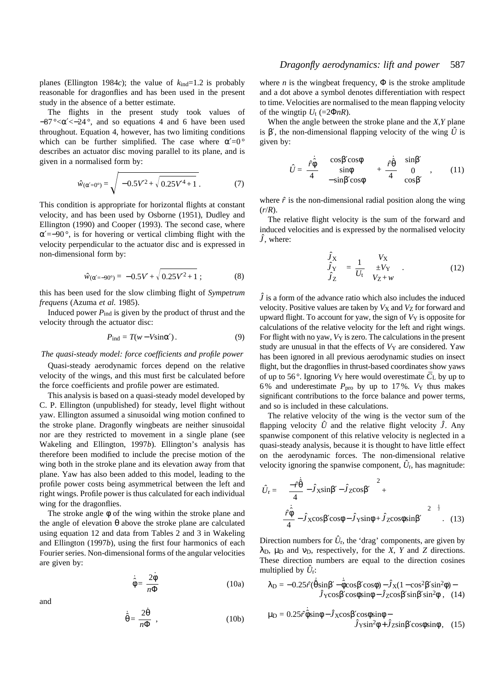planes (Ellington 1984*c*); the value of  $k_{ind}=1.2$  is probably reasonable for dragonflies and has been used in the present study in the absence of a better estimate.

The flights in the present study took values of  $-87$  °  $\lt \alpha$ ′  $\lt -24$  °, and so equations 4 and 6 have been used throughout. Equation 4, however, has two limiting conditions which can be further simplified. The case where  $\alpha' = 0^{\circ}$ describes an actuator disc moving parallel to its plane, and is given in a normalised form by:

$$
\hat{w}_{(\alpha'=0^{\circ})} = \sqrt{-0.5V'^2 + \sqrt{0.25V'^4 + 1}}.
$$
\n(7)

This condition is appropriate for horizontal flights at constant velocity, and has been used by Osborne (1951), Dudley and Ellington (1990) and Cooper (1993). The second case, where  $\alpha'=-90^{\circ}$ , is for hovering or vertical climbing flight with the velocity perpendicular to the actuator disc and is expressed in non-dimensional form by:

$$
\hat{w}_{(\alpha'=-90^\circ)} = -0.5V' + \sqrt{0.25V'^2 + 1} \; ; \tag{8}
$$

this has been used for the slow climbing flight of *Sympetrum frequens* (Azuma *et al.* 1985).

Induced power  $P_{ind}$  is given by the product of thrust and the velocity through the actuator disc:

$$
P_{\text{ind}} = T(w - V \sin \alpha'). \tag{9}
$$

*The quasi-steady model: force coefficients and profile power*

Quasi-steady aerodynamic forces depend on the relative velocity of the wings, and this must first be calculated before the force coefficients and profile power are estimated.

This analysis is based on a quasi-steady model developed by C. P. Ellington (unpublished) for steady, level flight without yaw. Ellington assumed a sinusoidal wing motion confined to the stroke plane. Dragonfly wingbeats are neither sinusoidal nor are they restricted to movement in a single plane (see Wakeling and Ellington, 1997*b*). Ellington's analysis has therefore been modified to include the precise motion of the wing both in the stroke plane and its elevation away from that plane. Yaw has also been added to this model, leading to the profile power costs being asymmetrical between the left and right wings. Profile power is thus calculated for each individual wing for the dragonflies.

The stroke angle φ of the wing within the stroke plane and the angle of elevation θ above the stroke plane are calculated using equation 12 and data from Tables 2 and 3 in Wakeling and Ellington (1997*b*), using the first four harmonics of each Fourier series. Non-dimensional forms of the angular velocities are given by:

$$
\dot{\hat{\phi}} = \frac{2\dot{\phi}}{n\Phi} \tag{10a}
$$

$$
\dot{\hat{\theta}} = \frac{2\dot{\theta}}{n\Phi} , \qquad (10b)
$$

where *n* is the wingbeat frequency,  $\Phi$  is the stroke amplitude and a dot above a symbol denotes differentiation with respect to time. Velocities are normalised to the mean flapping velocity of the wingtip  $U_t$  (=2 $\Phi nR$ ).

When the angle between the stroke plane and the *X*,*Y* plane is β', the non-dimensional flapping velocity of the wing  $\hat{U}$  is given by:

$$
\hat{U} = \frac{\hat{r}\dot{\hat{\Phi}}}{4} \begin{pmatrix} \cos\beta'\cos\phi \\ \sin\phi \\ -\sin\beta'\cos\phi \end{pmatrix} + \frac{\hat{r}\dot{\hat{\Theta}}}{4} \begin{pmatrix} \sin\beta' \\ 0 \\ \cos\beta' \end{pmatrix}, \qquad (11)
$$

where  $\hat{r}$  is the non-dimensional radial position along the wing  $(r/R)$ .

The relative flight velocity is the sum of the forward and induced velocities and is expressed by the normalised velocity *J*ˆ, where:

$$
\begin{pmatrix} \hat{J}_X \\ \hat{J}_Y \\ \hat{J}_Z \end{pmatrix} = \frac{1}{U_t} \begin{pmatrix} V_X \\ \pm V_Y \\ V_Z + w \end{pmatrix} . \tag{12}
$$

 $\hat{J}$  is a form of the advance ratio which also includes the induced velocity. Positive values are taken by  $V_X$  and  $V_Z$  for forward and upward flight. To account for yaw, the sign of  $V_Y$  is opposite for calculations of the relative velocity for the left and right wings. For flight with no yaw,  $V_Y$  is zero. The calculations in the present study are unusual in that the effects of  $V<sub>Y</sub>$  are considered. Yaw has been ignored in all previous aerodynamic studies on insect flight, but the dragonflies in thrust-based coordinates show yaws of up to 56 $\degree$ . Ignoring *V*<sub>Y</sub> here would overestimate  $\overline{C}_L$  by up to 6% and underestimate  $P_{\text{pro}}$  by up to 17%.  $V_Y$  thus makes significant contributions to the force balance and power terms, and so is included in these calculations.

The relative velocity of the wing is the vector sum of the flapping velocity  $\hat{U}$  and the relative flight velocity  $\hat{J}$ . Any spanwise component of this relative velocity is neglected in a quasi-steady analysis, because it is thought to have little effect on the aerodynamic forces. The non-dimensional relative velocity ignoring the spanwise component,  $\hat{U}_{\rm r}$ , has magnitude:

$$
\hat{U}_{r} = \left[ \left( \frac{-\hat{r}\dot{\hat{\theta}}}{4} - \hat{J}_{X}\sin\beta' - \hat{J}_{Z}\cos\beta' \right)^{2} + \left( \frac{\hat{r}\dot{\hat{\phi}}}{4} - \hat{J}_{X}\cos\beta'\cos\phi - \hat{J}_{Y}\sin\phi + \hat{J}_{Z}\cos\phi\sin\beta' \right)^{2} \right]^{\frac{1}{2}}.
$$
 (13)

Direction numbers for  $\hat{U}_r$ , the 'drag' components, are given by  $λ$ <sub>D</sub>,  $μ$ <sub>D</sub> and  $ν$ <sub>D</sub>, respectively, for the *X*, *Y* and *Z* directions. These direction numbers are equal to the direction cosines multiplied by  $\hat{U}_r$ :

$$
\lambda_{\rm D} = -0.25 \hat{r} (\dot{\hat{\theta}} \sin\beta' - \dot{\hat{\phi}} \cos\beta' \cos\phi) - \hat{J}_X (1 - \cos^2\beta' \sin^2\phi) -
$$
  

$$
\hat{J}_Y \cos\beta' \cos\phi \sin\phi - \hat{J}_Z \cos\beta' \sin\beta' \sin^2\phi , \quad (14)
$$

$$
\mu_D = 0.25 \hat{r} \hat{\phi} \sin \phi - \hat{J}_{X} \cos \beta' \cos \phi \sin \phi - \hat{J}_{Y} \sin^2 \phi + \hat{J}_{Z} \sin \beta' \cos \phi \sin \phi, \quad (15)
$$

and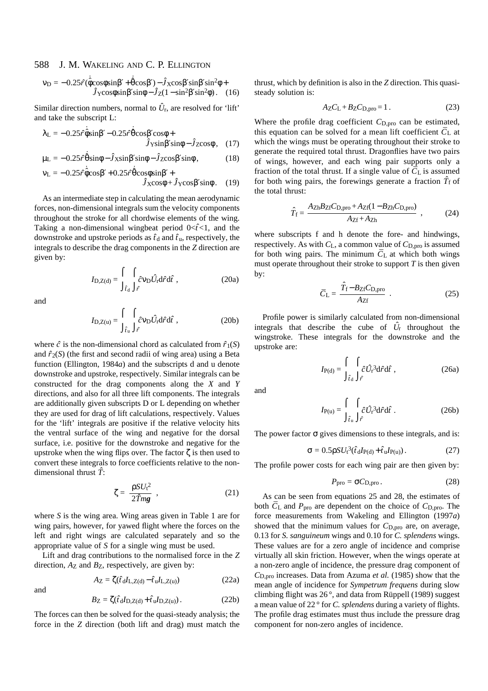$$
v_D = -0.25\hat{r}(\hat{\phi} \cos\phi \sin\beta' + \hat{\theta} \cos\beta') - \hat{J} \cos\beta' \sin\beta' \sin^2\phi + \hat{J} \cos\phi \sin\beta' \sin\phi - \hat{J} \sin^2\beta' \sin^2\phi).
$$
 (16)

Similar direction numbers, normal to  $\hat{U}_{r}$ , are resolved for 'lift' and take the subscript L:

$$
\lambda_{\rm L} = -0.25 \hat{r} \hat{\phi} \sin\beta' - 0.25 \hat{r} \hat{\theta} \cos\beta' \cos\phi + \hat{J}_{\gamma} \sin\beta' \sin\phi - \hat{J}_{\gamma} \cos\phi, \quad (17)
$$

$$
\mu_{\rm L} = -0.25 \hat{r} \dot{\hat{\theta}} \sin \phi - \hat{J} \sin \beta' \sin \phi - \hat{J} \cos \beta' \sin \phi, \qquad (18)
$$

$$
v_{L} = -0.25 \hat{r} \dot{\hat{\phi}} \cos \beta' + 0.25 \hat{r} \dot{\hat{\theta}} \cos \phi \sin \beta' + \hat{J}_{\chi} \cos \phi + \hat{J}_{\gamma} \cos \beta' \sin \phi. \quad (19)
$$

As an intermediate step in calculating the mean aerodynamic forces, non-dimensional integrals sum the velocity components throughout the stroke for all chordwise elements of the wing. Taking a non-dimensional wingbeat period  $0 < \hat{t} < 1$ , and the downstroke and upstroke periods as  $\hat{t}_d$  and  $\hat{t}_u$ , respectively, the integrals to describe the drag components in the *Z* direction are given by:

$$
I_{\text{D},Z(\text{d})} = \int_{\hat{t}_\text{d}} \int_{\hat{r}} \hat{c} \nu_\text{D} \hat{U}_\text{r} \text{d} \hat{r} \, \text{d} \hat{t} \tag{20a}
$$

and

and

$$
I_{\text{D},Z(u)} = \int_{\hat{t}_u} \int_{\hat{r}} \hat{c} \nu_{\text{D}} \hat{U}_{\text{r}} d\hat{r} d\hat{t} , \qquad (20b)
$$

where  $\hat{c}$  is the non-dimensional chord as calculated from  $\hat{r}_1(S)$ and  $\hat{r}_2(S)$  (the first and second radii of wing area) using a Beta function (Ellington, 1984*a*) and the subscripts d and u denote downstroke and upstroke, respectively. Similar integrals can be constructed for the drag components along the *X* and *Y* directions, and also for all three lift components. The integrals are additionally given subscripts D or L depending on whether they are used for drag of lift calculations, respectively. Values for the 'lift' integrals are positive if the relative velocity hits the ventral surface of the wing and negative for the dorsal surface, i.e. positive for the downstroke and negative for the upstroke when the wing flips over. The factor  $\zeta$  is then used to convert these integrals to force coefficients relative to the nondimensional thrust *T*ˆ:

$$
\zeta = \frac{\rho S U_t^2}{2 \hat{T} m g} \tag{21}
$$

where *S* is the wing area. Wing areas given in Table 1 are for wing pairs, however, for yawed flight where the forces on the left and right wings are calculated separately and so the appropriate value of *S* for a single wing must be used.

Lift and drag contributions to the normalised force in the *Z* direction,  $A_Z$  and  $B_Z$ , respectively, are given by:

$$
A_Z = \zeta(\hat{t}_d I_{L,Z(d)} - \hat{t}_u I_{L,Z(u)})
$$
\n(22a)

$$
B_Z = \zeta(\hat{t}_d I_{D,Z(d)} + \hat{t}_u I_{D,Z(u)}).
$$
 (22b)

The forces can then be solved for the quasi-steady analysis; the force in the *Z* direction (both lift and drag) must match the thrust, which by definition is also in the *Z* direction. This quasisteady solution is:

$$
A_Z C_L + B_Z C_{D,pro} = 1.
$$
 (23)

Where the profile drag coefficient *C*<sub>D,pro</sub> can be estimated, where the prome and coefficient  $\overline{C}_L$  at the equation can be solved for a mean lift coefficient  $\overline{C}_L$  at which the wings must be operating throughout their stroke to generate the required total thrust. Dragonflies have two pairs of wings, however, and each wing pair supports only a fraction of the total thrust. If a single value of  $\overline{C}_L$  is assumed for both wing pairs, the forewings generate a fraction  $\hat{T}_f$  of the total thrust:

$$
\hat{T}_{\rm f} = \frac{A_{\rm Zh}B_{\rm Zf}C_{\rm D,pro} + A_{\rm Zf}(1 - B_{\rm Zh}C_{\rm D,pro})}{A_{\rm Zf} + A_{\rm Zh}} \quad , \tag{24}
$$

where subscripts f and h denote the fore- and hindwings, respectively. As with  $C_{L}$ , a common value of  $C_{D, pro}$  is assumed for both wing pairs. The minimum  $\overline{C}_L$  at which both wings must operate throughout their stroke to support  $T$  is then given by:

$$
\overline{C}_{\rm L} = \frac{\hat{T}_{\rm f} - B_{\rm Zf} C_{\rm D,pro}}{A_{\rm Zf}} \ . \tag{25}
$$

Profile power is similarly calculated from non-dimensional integrals that describe the cube of  $\hat{U}_r$  throughout the wingstroke. These integrals for the downstroke and the upstroke are:

$$
I_{P(d)} = \int_{\hat{t}_d} \int_{\hat{r}} \hat{c} \hat{U}_r^3 d\hat{r} d\hat{t} , \qquad (26a)
$$

and

$$
I_{\mathcal{P}(u)} = \int_{\hat{t}_u} \int_{\hat{r}} \hat{\mathcal{C}} \hat{U}_r^3 d\hat{r} d\hat{t} . \qquad (26b)
$$

The power factor  $\sigma$  gives dimensions to these integrals, and is:

$$
\sigma = 0.5 \rho S U_t^3 (\hat{t}_d I_{P(d)} + \hat{t}_u I_{P(u)}).
$$
 (27)

The profile power costs for each wing pair are then given by:

$$
P_{\rm pro} = \sigma C_{\rm D,pro}.
$$
 (28)

As can be seen from equations 25 and 28, the estimates of  $\overline{C}_{\text{L}}$  and  $P_{\text{pro}}$  are dependent on the choice of  $C_{\text{D,pro}}$ . The force measurements from Wakeling and Ellington (1997*a*) showed that the minimum values for *C*<sub>D,pro</sub> are, on average, 0.13 for *S. sanguineum* wings and 0.10 for *C. splendens* wings. These values are for a zero angle of incidence and comprise virtually all skin friction. However, when the wings operate at a non-zero angle of incidence, the pressure drag component of *C*D,pro increases. Data from Azuma *et al.* (1985) show that the mean angle of incidence for *Sympetrum frequens* during slow climbing flight was 26 °, and data from Rüppell (1989) suggest a mean value of 22 ° for *C. splendens* during a variety of flights. The profile drag estimates must thus include the pressure drag component for non-zero angles of incidence.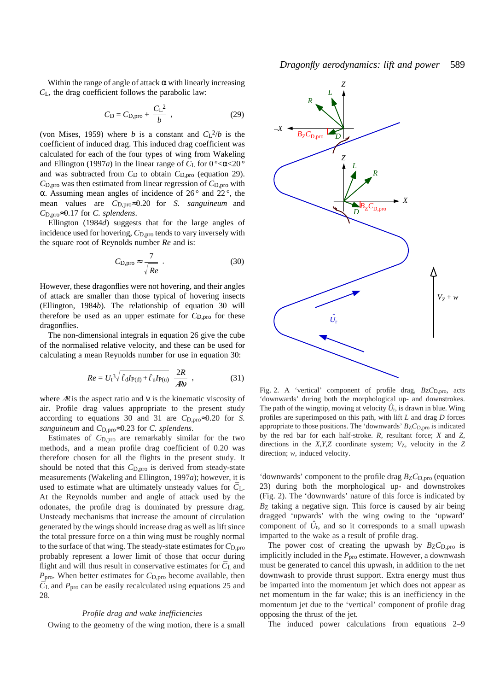Within the range of angle of attack  $\alpha$  with linearly increasing *C*L, the drag coefficient follows the parabolic law:

$$
C_{\rm D} = C_{\rm D,pro} + \frac{C_{\rm L}^2}{b} \,, \tag{29}
$$

(von Mises, 1959) where *b* is a constant and  $C_{L}^{2}/b$  is the coefficient of induced drag. This induced drag coefficient was calculated for each of the four types of wing from Wakeling and Ellington (1997*a*) in the linear range of  $C_{\rm L}$  for  $0^{\circ} < \alpha < 20^{\circ}$ and was subtracted from  $C_D$  to obtain  $C_{D,pro}$  (equation 29). *C*D,pro was then estimated from linear regression of *C*D,pro with α. Assuming mean angles of incidence of  $26^\circ$  and  $22^\circ$ , the mean values are *C*D,pro≈0.20 for *S. sanguineum* and *C*D,pro≈0.17 for *C. splendens*.

Ellington (1984*d*) suggests that for the large angles of incidence used for hovering, *C*D,pro tends to vary inversely with the square root of Reynolds number *Re* and is:

$$
C_{\text{D,pro}} \approx \frac{7}{\sqrt{Re}} \tag{30}
$$

However, these dragonflies were not hovering, and their angles of attack are smaller than those typical of hovering insects (Ellington, 1984*b*). The relationship of equation 30 will therefore be used as an upper estimate for C<sub>D,pro</sub> for these dragonflies.

The non-dimensional integrals in equation 26 give the cube of the normalised relative velocity, and these can be used for calculating a mean Reynolds number for use in equation 30:

$$
Re = U_{t}^{3} \sqrt{\hat{t}_{d} I_{P(d)} + \hat{t}_{u} I_{P(u)}} \frac{2R}{A N} , \qquad (31)
$$

where  $\mathcal{R}$  is the aspect ratio and  $\nu$  is the kinematic viscosity of air. Profile drag values appropriate to the present study according to equations 30 and 31 are  $C_{\text{D,pro}} \approx 0.20$  for *S*. *sanguineum* and *C*D,pro≈0.23 for *C. splendens*.

Estimates of *C*D,pro are remarkably similar for the two methods, and a mean profile drag coefficient of 0.20 was therefore chosen for all the flights in the present study. It should be noted that this *C*D,pro is derived from steady-state measurements (Wakeling and Ellington, 1997*a*); however, it is measurements (*walcung and Emilgion*,  $122n/$ , however, it is At the Reynolds number and angle of attack used by the odonates, the profile drag is dominated by pressure drag. Unsteady mechanisms that increase the amount of circulation generated by the wings should increase drag as well as lift since the total pressure force on a thin wing must be roughly normal to the surface of that wing. The steady-state estimates for *C*D,pro probably represent a lower limit of those that occur during flight and will thus result in conservative estimates for  $\overline{C}_L$  and *P*pro. When better estimates for *C*D,pro become available, then  $\overline{C}_{L}$  and  $P_{\text{pro}}$  can be easily recalculated using equations 25 and 28.

# *Profile drag and wake inefficiencies*

Owing to the geometry of the wing motion, there is a small



Fig. 2. A 'vertical' component of profile drag,  $B_Z C_{D, pro}$ , acts 'downwards' during both the morphological up- and downstrokes. The path of the wingtip, moving at velocity  $\hat{U}_r$ , is drawn in blue. Wing profiles are superimposed on this path, with lift *L* and drag *D* forces appropriate to those positions. The 'downwards'  $B_Z C_{D,pro}$  is indicated by the red bar for each half-stroke. *R*, resultant force; *X* and *Z*, directions in the *X,Y,Z* coordinate system;  $V_Z$ , velocity in the *Z* direction; *w*, induced velocity.

'downwards' component to the profile drag *B*Z*C*D,pro (equation 23) during both the morphological up- and downstrokes (Fig. 2). The 'downwards' nature of this force is indicated by *B*Z taking a negative sign. This force is caused by air being dragged 'upwards' with the wing owing to the 'upward' component of  $\hat{U}_r$ , and so it corresponds to a small upwash imparted to the wake as a result of profile drag.

The power cost of creating the upwash by  $BZC_{D,pro}$  is implicitly included in the *P*<sub>pro</sub> estimate. However, a downwash must be generated to cancel this upwash, in addition to the net downwash to provide thrust support. Extra energy must thus be imparted into the momentum jet which does not appear as net momentum in the far wake; this is an inefficiency in the momentum jet due to the 'vertical' component of profile drag opposing the thrust of the jet.

The induced power calculations from equations 2–9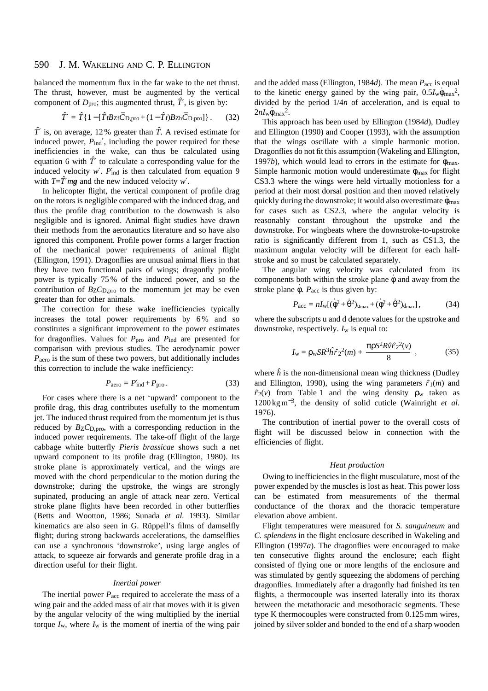balanced the momentum flux in the far wake to the net thrust. The thrust, however, must be augmented by the vertical component of  $D_{\text{pro}}$ ; this augmented thrust,  $\hat{T}'$ , is given by:

$$
\hat{T}' = \hat{T} \{ 1 - [\hat{T}_{\text{f}} B_{\text{Zf}} \overline{C}_{\text{D,pro}} + (1 - \hat{T}_{\text{f}}) B_{\text{Zh}} \overline{C}_{\text{D,pro}}] \}.
$$
 (32)

 $\hat{T}'$  is, on average, 12% greater than  $\hat{T}$ . A revised estimate for induced power,  $P_{ind}$ <sup>'</sup>, including the power required for these inefficiencies in the wake, can thus be calculated using equation 6 with  $\hat{T}'$  to calculate a corresponding value for the induced velocity  $w'$ .  $P'_{ind}$  is then calculated from equation 9 with  $T=\hat{T}'$ *mg* and the new induced velocity *w'*.

In helicopter flight, the vertical component of profile drag on the rotors is negligible compared with the induced drag, and thus the profile drag contribution to the downwash is also negligible and is ignored. Animal flight studies have drawn their methods from the aeronautics literature and so have also ignored this component. Profile power forms a larger fraction of the mechanical power requirements of animal flight (Ellington, 1991). Dragonflies are unusual animal fliers in that they have two functional pairs of wings; dragonfly profile power is typically 75 % of the induced power, and so the contribution of *B*<sub>Z</sub>*C*<sub>D,pro</sub> to the momentum jet may be even greater than for other animals.

The correction for these wake inefficiencies typically increases the total power requirements by 6% and so constitutes a significant improvement to the power estimates for dragonflies. Values for *P*<sub>pro</sub> and *P*<sub>ind</sub> are presented for comparison with previous studies. The aerodynamic power *P*aero is the sum of these two powers, but additionally includes this correction to include the wake inefficiency:

$$
P_{\text{aero}} = P_{\text{ind}}' + P_{\text{pro}}.
$$
 (33)

For cases where there is a net 'upward' component to the profile drag, this drag contributes usefully to the momentum jet. The induced thrust required from the momentum jet is thus reduced by  $BZC_{D,pro}$ , with a corresponding reduction in the induced power requirements. The take-off flight of the large cabbage white butterfly *Pieris brassicae* shows such a net upward component to its profile drag (Ellington, 1980). Its stroke plane is approximately vertical, and the wings are moved with the chord perpendicular to the motion during the downstroke; during the upstroke, the wings are strongly supinated, producing an angle of attack near zero. Vertical stroke plane flights have been recorded in other butterflies (Betts and Wootton, 1986; Sunada *et al.* 1993). Similar kinematics are also seen in G. Rüppell's films of damselfly flight; during strong backwards accelerations, the damselflies can use a synchronous 'downstroke', using large angles of attack, to squeeze air forwards and generate profile drag in a direction useful for their flight.

# *Inertial power*

The inertial power  $P_{\text{acc}}$  required to accelerate the mass of a wing pair and the added mass of air that moves with it is given by the angular velocity of the wing multiplied by the inertial torque  $I_w$ , where  $I_w$  is the moment of inertia of the wing pair and the added mass (Ellington, 1984*d*). The mean  $P_{\text{acc}}$  is equal to the kinetic energy gained by the wing pair,  $0.5I_w\dot{\phi}_{max}^2$ , divided by the period 1/4*n* of acceleration, and is equal to  $2nI_w\dot{\phi}_{max}^2$ .

This approach has been used by Ellington (1984*d*), Dudley and Ellington (1990) and Cooper (1993), with the assumption that the wings oscillate with a simple harmonic motion. Dragonflies do not fit this assumption (Wakeling and Ellington, 1997*b*), which would lead to errors in the estimate for  $\phi_{\text{max}}$ . Simple harmonic motion would underestimate  $\phi_{\text{max}}$  for flight CS3.3 where the wings were held virtually motionless for a period at their most dorsal position and then moved relatively quickly during the downstroke; it would also overestimate  $\dot{\phi}_{\text{max}}$ for cases such as CS2.3, where the angular velocity is reasonably constant throughout the upstroke and the downstroke. For wingbeats where the downstroke-to-upstroke ratio is significantly different from 1, such as CS1.3, the maximum angular velocity will be different for each halfstroke and so must be calculated separately.

The angular wing velocity was calculated from its components both within the stroke plane  $\phi$  and away from the stroke plane  $\phi$ . *P*<sub>acc</sub> is thus given by:

$$
P_{\rm acc} = nI_{\rm w}[(\dot{\phi}^2 + \dot{\theta}^2)_{u_{\rm max}} + (\dot{\phi}^2 + \dot{\theta}^2)_{d_{\rm max}}],
$$
 (34)

where the subscripts u and d denote values for the upstroke and downstroke, respectively. *I*w is equal to:

$$
I_{\rm w} = \rho_{\rm w} S R^3 \hat{h} \hat{r}_2^2(m) + \frac{\pi \rho S^2 R \hat{v} \hat{r}_2^2(v)}{8} , \qquad (35)
$$

where  $\hat{h}$  is the non-dimensional mean wing thickness (Dudley and Ellington, 1990), using the wing parameters  $\hat{r}_1(m)$  and  $\hat{r}_2(v)$  from Table 1 and the wing density  $\rho_w$  taken as 1200 kgm<sup>−</sup>3, the density of solid cuticle (Wainright *et al.* 1976).

The contribution of inertial power to the overall costs of flight will be discussed below in connection with the efficiencies of flight.

# *Heat production*

Owing to inefficiencies in the flight musculature, most of the power expended by the muscles is lost as heat. This power loss can be estimated from measurements of the thermal conductance of the thorax and the thoracic temperature elevation above ambient.

Flight temperatures were measured for *S. sanguineum* and *C. splendens* in the flight enclosure described in Wakeling and Ellington (1997*a*). The dragonflies were encouraged to make ten consecutive flights around the enclosure; each flight consisted of flying one or more lengths of the enclosure and was stimulated by gently squeezing the abdomens of perching dragonflies. Immediately after a dragonfly had finished its ten flights, a thermocouple was inserted laterally into its thorax between the metathoracic and mesothoracic segments. These type K thermocouples were constructed from 0.125mm wires, joined by silver solder and bonded to the end of a sharp wooden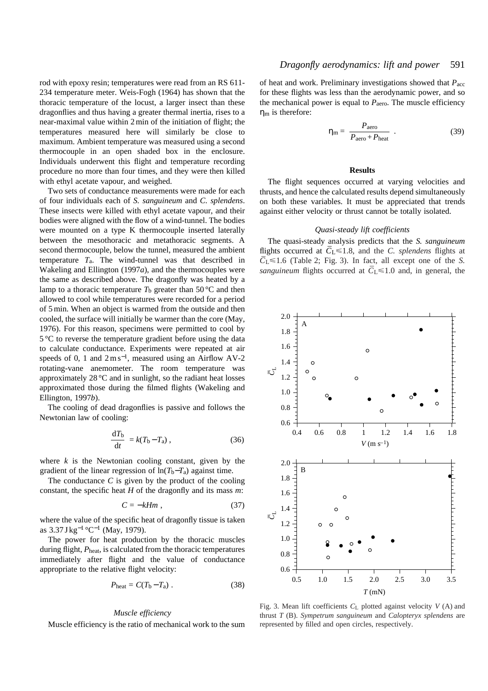rod with epoxy resin; temperatures were read from an RS 611- 234 temperature meter. Weis-Fogh (1964) has shown that the thoracic temperature of the locust, a larger insect than these dragonflies and thus having a greater thermal inertia, rises to a near-maximal value within 2min of the initiation of flight; the temperatures measured here will similarly be close to maximum. Ambient temperature was measured using a second thermocouple in an open shaded box in the enclosure. Individuals underwent this flight and temperature recording procedure no more than four times, and they were then killed with ethyl acetate vapour, and weighed.

Two sets of conductance measurements were made for each of four individuals each of *S. sanguineum* and *C. splendens*. These insects were killed with ethyl acetate vapour, and their bodies were aligned with the flow of a wind-tunnel. The bodies were mounted on a type K thermocouple inserted laterally between the mesothoracic and metathoracic segments. A second thermocouple, below the tunnel, measured the ambient temperature *T*a. The wind-tunnel was that described in Wakeling and Ellington (1997*a*), and the thermocouples were the same as described above. The dragonfly was heated by a lamp to a thoracic temperature  $T_b$  greater than 50 °C and then allowed to cool while temperatures were recorded for a period of 5min. When an object is warmed from the outside and then cooled, the surface will initially be warmer than the core (May, 1976). For this reason, specimens were permitted to cool by 5 °C to reverse the temperature gradient before using the data to calculate conductance. Experiments were repeated at air speeds of 0, 1 and  $2 \text{ m s}^{-1}$ , measured using an Airflow AV-2 rotating-vane anemometer. The room temperature was approximately 28 °C and in sunlight, so the radiant heat losses approximated those during the filmed flights (Wakeling and Ellington, 1997*b*).

The cooling of dead dragonflies is passive and follows the Newtonian law of cooling:

$$
\frac{\mathrm{d}T_{\mathrm{b}}}{\mathrm{d}t} = k(T_{\mathrm{b}} - T_{\mathrm{a}}) \,, \tag{36}
$$

where *k* is the Newtonian cooling constant, given by the gradient of the linear regression of  $\ln(T_b - T_a)$  against time.

The conductance *C* is given by the product of the cooling constant, the specific heat *H* of the dragonfly and its mass *m*:

$$
C = -kHm \t\t(37)
$$

where the value of the specific heat of dragonfly tissue is taken as 3.37 J kg−<sup>1</sup> °C−<sup>1</sup> (May, 1979).

The power for heat production by the thoracic muscles during flight,  $P_{\text{heat}}$ , is calculated from the thoracic temperatures immediately after flight and the value of conductance appropriate to the relative flight velocity:

$$
P_{\text{heat}} = C(T_b - T_a) \tag{38}
$$

# *Muscle efficiency*

Muscle efficiency is the ratio of mechanical work to the sum

# *Dragonfly aerodynamics: lift and power* 591

of heat and work. Preliminary investigations showed that *P*acc for these flights was less than the aerodynamic power, and so the mechanical power is equal to *P*aero. The muscle efficiency  $\eta_m$  is therefore:

$$
\eta_{\rm m} = \frac{P_{\rm aero}}{P_{\rm aero} + P_{\rm heat}} \tag{39}
$$

# **Results**

The flight sequences occurred at varying velocities and thrusts, and hence the calculated results depend simultaneously on both these variables. It must be appreciated that trends against either velocity or thrust cannot be totally isolated.

# *Quasi-steady lift coefficients*

The quasi-steady analysis predicts that the *S. sanguineum* flights occurred at  $\overline{C}_L \le 1.8$ , and the *C. splendens* flights at  $\overline{C}_L \leq 1.6$  (Table 2; Fig. 3). In fact, all except one of the *S*. sanguineum flights occurred at  $\overline{C}_L \le 1.0$  and, in general, the



Fig. 3. Mean lift coefficients *C*L plotted against velocity *V* (A) and thrust *T* (B). *Sympetrum sanguineum* and *Calopteryx splendens* are represented by filled and open circles, respectively.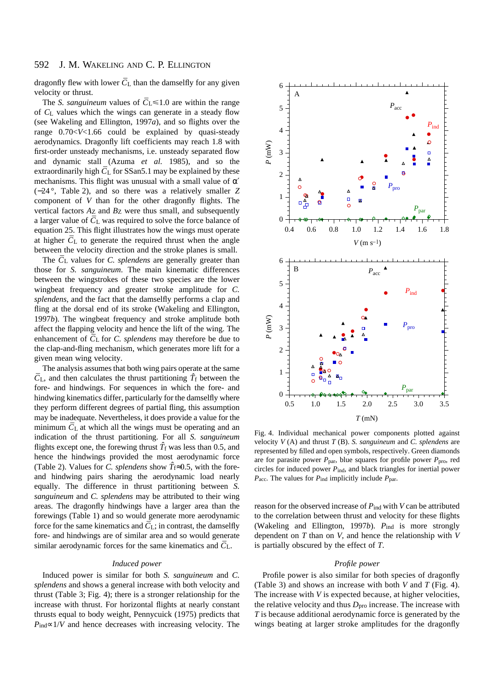dragonfly flew with lower  $\bar{C}_L$  than the damselfly for any given velocity or thrust.

The *S. sanguineum* values of  $\overline{C}_L \le 1.0$  are within the range of *C*L values which the wings can generate in a steady flow (see Wakeling and Ellington, 1997*a*), and so flights over the range 0.70<*V*<1.66 could be explained by quasi-steady aerodynamics. Dragonfly lift coefficients may reach 1.8 with first-order unsteady mechanisms, i.e. unsteady separated flow and dynamic stall (Azuma *et al.* 1985), and so the extraordinarily high  $\overline{C}_L$  for SSan5.1 may be explained by these mechanisms. This flight was unusual with a small value of  $\alpha'$ (−24 °, Table 2), and so there was a relatively smaller *Z* component of *V* than for the other dragonfly flights. The vertical factors  $A_Z$  and  $B_Z$  were thus small, and subsequently a larger value of  $\overline{C}_{L}$  was required to solve the force balance of equation 25. This flight illustrates how the wings must operate  $\alpha$  –  $\overline{C}_L$  to generate the required thrust when the angle between the velocity direction and the stroke planes is small.

The  $\bar{C}_{L}$  values for *C. splendens* are generally greater than those for *S. sanguineum*. The main kinematic differences between the wingstrokes of these two species are the lower wingbeat frequency and greater stroke amplitude for *C. splendens*, and the fact that the damselfly performs a clap and fling at the dorsal end of its stroke (Wakeling and Ellington, 1997*b*). The wingbeat frequency and stroke amplitude both affect the flapping velocity and hence the lift of the wing. The enhancement of  $\overline{C}_L$  for *C. splendens* may therefore be due to the clap-and-fling mechanism, which generates more lift for a given mean wing velocity.

The analysis assumes that both wing pairs operate at the same  $\overline{C}_{L}$ , and then calculates the thrust partitioning  $\hat{T}_{f}$  between the fore- and hindwings. For sequences in which the fore- and hindwing kinematics differ, particularly for the damselfly where they perform different degrees of partial fling, this assumption may be inadequate. Nevertheless, it does provide a value for the may be madequate. Teverancess, a does provide a value for the minimum  $\bar{C}_{\rm L}$  at which all the wings must be operating and an indication of the thrust partitioning. For all *S. sanguineum* flights except one, the forewing thrust  $\hat{T}_f$  was less than 0.5, and hence the hindwings provided the most aerodynamic force (Table 2). Values for *C. splendens* show  $\hat{T}_{\tilde{f}} \approx 0.5$ , with the foreand hindwing pairs sharing the aerodynamic load nearly equally. The difference in thrust partitioning between *S. sanguineum* and *C. splendens* may be attributed to their wing areas. The dragonfly hindwings have a larger area than the forewings (Table 1) and so would generate more aerodynamic force for the same kinematics and  $\overline{C}_L$ ; in contrast, the damselfly fore- and hindwings are of similar area and so would generate similar aerodynamic forces for the same kinematics and  $\bar{C}_{L}$ .

### *Induced power*

Induced power is similar for both *S. sanguineum* and *C. splendens* and shows a general increase with both velocity and thrust (Table 3; Fig. 4); there is a stronger relationship for the increase with thrust. For horizontal flights at nearly constant thrusts equal to body weight, Pennycuick (1975) predicts that *P*<sub>ind</sub>∝1/*V* and hence decreases with increasing velocity. The



Fig. 4. Individual mechanical power components plotted against velocity *V* (A) and thrust *T* (B). *S. sanguineum* and *C. splendens* are represented by filled and open symbols, respectively. Green diamonds are for parasite power  $P_{\text{par}}$ , blue squares for profile power  $P_{\text{pro}}$ , red circles for induced power *P*ind, and black triangles for inertial power *P*acc. The values for *P*ind implicitly include *P*par.

reason for the observed increase of *P*ind with *V* can be attributed to the correlation between thrust and velocity for these flights (Wakeling and Ellington, 1997*b*). *P*ind is more strongly dependent on *T* than on *V*, and hence the relationship with *V* is partially obscured by the effect of *T*.

#### *Profile power*

Profile power is also similar for both species of dragonfly (Table 3) and shows an increase with both *V* and *T* (Fig. 4). The increase with *V* is expected because, at higher velocities, the relative velocity and thus *D*pro increase. The increase with *T* is because additional aerodynamic force is generated by the wings beating at larger stroke amplitudes for the dragonfly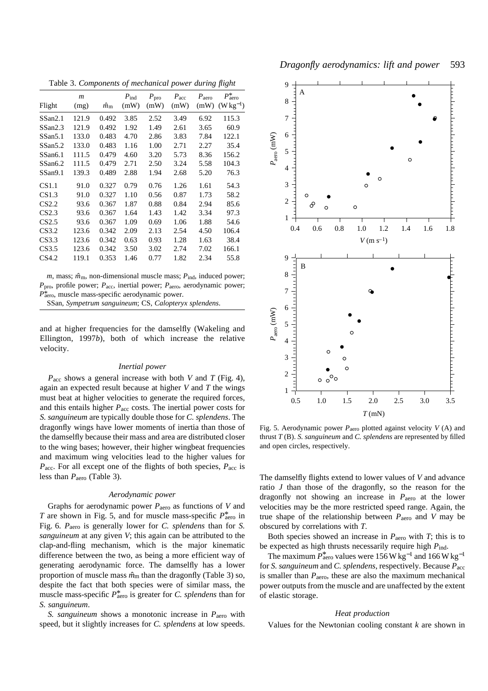Table 3. *Components of mechanical power during flight*

|                     | $\boldsymbol{m}$ |                   | $P_{\text{ind}}$ | $P_{\text{pro}}$ | $P_{\rm acc}$ | $P_{\text{aero}}$ | $P_{\rm aero}^*$ |
|---------------------|------------------|-------------------|------------------|------------------|---------------|-------------------|------------------|
| Flight              | (mg)             | $\hat{m}_{\rm m}$ | (mW)             | (mW)             | (mW)          | (mW)              | $(Wkg^{-1})$     |
| SSan2.1             | 121.9            | 0.492             | 3.85             | 2.52             | 3.49          | 6.92              | 115.3            |
| SSan2.3             | 121.9            | 0.492             | 1.92             | 1.49             | 2.61          | 3.65              | 60.9             |
| SSan <sub>5.1</sub> | 133.0            | 0.483             | 4.70             | 2.86             | 3.83          | 7.84              | 122.1            |
| SSan <sub>5.2</sub> | 133.0            | 0.483             | 1.16             | 1.00             | 2.71          | 2.27              | 35.4             |
| SSan6.1             | 111.5            | 0.479             | 4.60             | 3.20             | 5.73          | 8.36              | 156.2            |
| SSan6.2             | 111.5            | 0.479             | 2.71             | 2.50             | 3.24          | 5.58              | 104.3            |
| SSan9.1             | 139.3            | 0.489             | 2.88             | 1.94             | 2.68          | 5.20              | 76.3             |
| CS1.1               | 91.0             | 0.327             | 0.79             | 0.76             | 1.26          | 1.61              | 54.3             |
| CS1.3               | 91.0             | 0.327             | 1.10             | 0.56             | 0.87          | 1.73              | 58.2             |
| CS2.2               | 93.6             | 0.367             | 1.87             | 0.88             | 0.84          | 2.94              | 85.6             |
| CS2.3               | 93.6             | 0.367             | 1.64             | 1.43             | 1.42          | 3.34              | 97.3             |
| CS2.5               | 93.6             | 0.367             | 1.09             | 0.69             | 1.06          | 1.88              | 54.6             |
| CS3.2               | 123.6            | 0.342             | 2.09             | 2.13             | 2.54          | 4.50              | 106.4            |
| CS3.3               | 123.6            | 0.342             | 0.63             | 0.93             | 1.28          | 1.63              | 38.4             |
| CS3.5               | 123.6            | 0.342             | 3.50             | 3.02             | 2.74          | 7.02              | 166.1            |
| CS4.2               | 119.1            | 0.353             | 1.46             | 0.77             | 1.82          | 2.34              | 55.8             |

 $m$ , mass;  $\hat{m}_m$ , non-dimensional muscle mass;  $P_{ind}$ , induced power; *P*<sub>pro</sub>, profile power; *P*<sub>acc</sub>, inertial power; *P*<sub>aero</sub>, aerodynamic power; *P*<sup>\*</sup><sub>aero</sub>, muscle mass-specific aerodynamic power.

SSan, *Sympetrum sanguineum*; CS, *Calopteryx splendens*.

and at higher frequencies for the damselfly (Wakeling and Ellington, 1997*b*), both of which increase the relative velocity.

## *Inertial power*

*P*acc shows a general increase with both *V* and *T* (Fig. 4), again an expected result because at higher *V* and *T* the wings must beat at higher velocities to generate the required forces, and this entails higher *P*acc costs. The inertial power costs for *S. sanguineum* are typically double those for *C. splendens*. The dragonfly wings have lower moments of inertia than those of the damselfly because their mass and area are distributed closer to the wing bases; however, their higher wingbeat frequencies and maximum wing velocities lead to the higher values for *Pacc.* For all except one of the flights of both species, *Pacc* is less than *P*aero (Table 3).

### *Aerodynamic power*

Graphs for aerodynamic power *P*aero as functions of *V* and *T* are shown in Fig. 5, and for muscle mass-specific  $P_{\text{aero}}^*$  in Fig. 6. *P*aero is generally lower for *C. splendens* than for *S. sanguineum* at any given *V*; this again can be attributed to the clap-and-fling mechanism, which is the major kinematic difference between the two, as being a more efficient way of generating aerodynamic force. The damselfly has a lower proportion of muscle mass  $\hat{m}_{\text{m}}$  than the dragonfly (Table 3) so, despite the fact that both species were of similar mass, the muscle mass-specific  $P_{\text{aero}}^{*}$  is greater for *C. splendens* than for *S. sanguineum*.

*S. sanguineum* shows a monotonic increase in *P*aero with speed, but it slightly increases for *C. splendens* at low speeds.



Fig. 5. Aerodynamic power *P*aero plotted against velocity *V* (A) and thrust *T* (B). *S. sanguineum* and *C. splendens* are represented by filled and open circles, respectively.

The damselfly flights extend to lower values of *V* and advance ratio *J* than those of the dragonfly, so the reason for the dragonfly not showing an increase in *P*aero at the lower velocities may be the more restricted speed range. Again, the true shape of the relationship between  $P_{\text{aero}}$  and  $V$  may be obscured by correlations with *T*.

Both species showed an increase in  $P_{\text{aero}}$  with  $T$ ; this is to be expected as high thrusts necessarily require high *P*ind.

The maximum  $P_{\text{aero}}^*$  values were 156W kg<sup>-1</sup> and 166W kg<sup>-1</sup> for *S. sanguineum* and *C. splendens*, respectively. Because *P*acc is smaller than *P*aero, these are also the maximum mechanical power outputs from the muscle and are unaffected by the extent of elastic storage.

# *Heat production*

Values for the Newtonian cooling constant *k* are shown in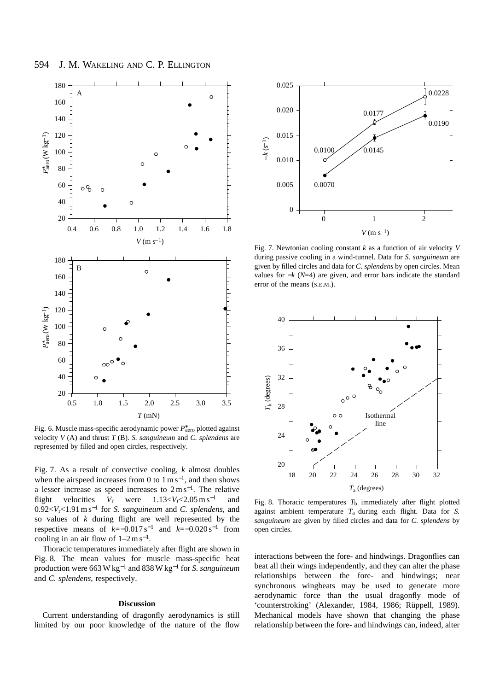

Fig. 6. Muscle mass-specific aerodynamic power  $P_{\text{aero}}^{*}$  plotted against velocity *V* (A) and thrust *T* (B). *S. sanguineum* and *C. splendens* are represented by filled and open circles, respectively.

Fig. 7. As a result of convective cooling, *k* almost doubles when the airspeed increases from 0 to  $1 \text{ m s}^{-1}$ , and then shows a lesser increase as speed increases to 2ms<sup>−</sup>1. The relative flight velocities  $V_r$  were  $1.13 < V_r < 2.05$  m s<sup>-1</sup> and 0.92<*V*r<1.91ms−<sup>1</sup> for *S. sanguineum* and *C. splendens*, and so values of *k* during flight are well represented by the respective means of  $k=-0.017 s^{-1}$  and  $k=-0.020 s^{-1}$  from cooling in an air flow of  $1-2 \text{ m s}^{-1}$ .

Thoracic temperatures immediately after flight are shown in Fig. 8. The mean values for muscle mass-specific heat production were 663Wkg−<sup>1</sup> and 838Wkg−<sup>1</sup> for *S. sanguineum* and *C. splendens*, respectively.

## **Discussion**

Current understanding of dragonfly aerodynamics is still limited by our poor knowledge of the nature of the flow



Fig. 7. Newtonian cooling constant *k* as a function of air velocity *V* during passive cooling in a wind-tunnel. Data for *S. sanguineum* are given by filled circles and data for *C. splendens* by open circles. Mean values for −*k* (*N*=4) are given, and error bars indicate the standard error of the means (S.E.M.).



Fig. 8. Thoracic temperatures *T*b immediately after flight plotted against ambient temperature *T*a during each flight. Data for *S. sanguineum* are given by filled circles and data for *C. splendens* by open circles.

interactions between the fore- and hindwings. Dragonflies can beat all their wings independently, and they can alter the phase relationships between the fore- and hindwings; near synchronous wingbeats may be used to generate more aerodynamic force than the usual dragonfly mode of 'counterstroking' (Alexander, 1984, 1986; Rüppell, 1989). Mechanical models have shown that changing the phase relationship between the fore- and hindwings can, indeed, alter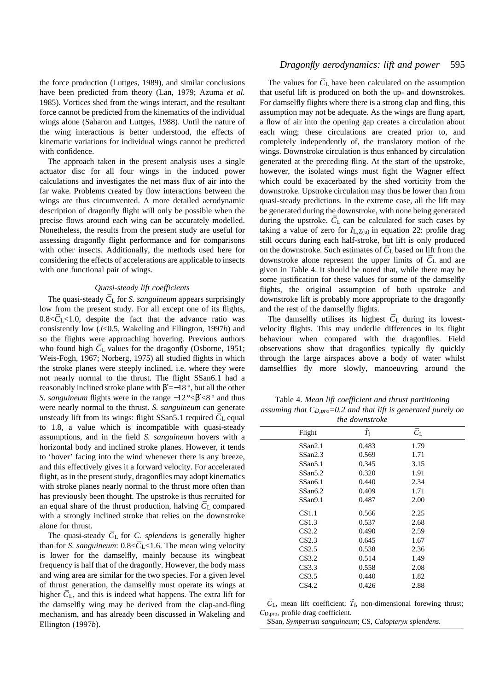the force production (Luttges, 1989), and similar conclusions have been predicted from theory (Lan, 1979; Azuma *et al.* 1985). Vortices shed from the wings interact, and the resultant force cannot be predicted from the kinematics of the individual wings alone (Saharon and Luttges, 1988). Until the nature of the wing interactions is better understood, the effects of kinematic variations for individual wings cannot be predicted with confidence.

The approach taken in the present analysis uses a single actuator disc for all four wings in the induced power calculations and investigates the net mass flux of air into the far wake. Problems created by flow interactions between the wings are thus circumvented. A more detailed aerodynamic description of dragonfly flight will only be possible when the precise flows around each wing can be accurately modelled. Nonetheless, the results from the present study are useful for assessing dragonfly flight performance and for comparisons with other insects. Additionally, the methods used here for considering the effects of accelerations are applicable to insects with one functional pair of wings.

# *Quasi-steady lift coefficients*

The quasi-steady  $\overline{C}_L$  for *S. sanguineum* appears surprisingly low from the present study. For all except one of its flights,  $0.8 < \overline{C}_L < 1.0$ , despite the fact that the advance ratio was consistently low (*J*<0.5, Wakeling and Ellington, 1997*b*) and so the flights were approaching hovering. Previous authors who found high  $\bar{C}_{L}$  values for the dragonfly (Osborne, 1951; Weis-Fogh, 1967; Norberg, 1975) all studied flights in which the stroke planes were steeply inclined, i.e. where they were not nearly normal to the thrust. The flight SSan6.1 had a reasonably inclined stroke plane with  $\beta' = -18^\circ$ , but all the other *S. sanguineum* flights were in the range −12 °  $\langle \frac{\beta}{8} \rangle$  and thus were nearly normal to the thrust. *S. sanguineum* can generate unsteady lift from its wings: flight SSan5.1 required  $\overline{C}_L$  equal to 1.8, a value which is incompatible with quasi-steady assumptions, and in the field *S. sanguineum* hovers with a horizontal body and inclined stroke planes. However, it tends to 'hover' facing into the wind whenever there is any breeze, and this effectively gives it a forward velocity. For accelerated flight, as in the present study, dragonflies may adopt kinematics with stroke planes nearly normal to the thrust more often than has previously been thought. The upstroke is thus recruited for an equal share of the thrust production, halving  $\bar{C}_{L}$  compared with a strongly inclined stroke that relies on the downstroke alone for thrust.

The quasi-steady  $\bar{C}_{L}$  for *C. splendens* is generally higher than for *S. sanguineum*:  $0.8 < \overline{C}_L < 1.6$ . The mean wing velocity is lower for the damselfly, mainly because its wingbeat frequency is half that of the dragonfly. However, the body mass and wing area are similar for the two species. For a given level of thrust generation, the damselfly must operate its wings at  $\vec{C}_{L}$ , and this is indeed what happens. The extra lift for the damselfly wing may be derived from the clap-and-fling mechanism, and has already been discussed in Wakeling and Ellington (1997*b*).

# *Dragonfly aerodynamics: lift and power* 595

The values for  $\bar{C}_{\text{L}}$  have been calculated on the assumption that useful lift is produced on both the up- and downstrokes. For damselfly flights where there is a strong clap and fling, this assumption may not be adequate. As the wings are flung apart, a flow of air into the opening gap creates a circulation about each wing; these circulations are created prior to, and completely independently of, the translatory motion of the wings. Downstroke circulation is thus enhanced by circulation generated at the preceding fling. At the start of the upstroke, however, the isolated wings must fight the Wagner effect which could be exacerbated by the shed vorticity from the downstroke. Upstroke circulation may thus be lower than from quasi-steady predictions. In the extreme case, all the lift may be generated during the downstroke, with none being generated during the upstroke.  $\overline{C}_{L}$  can be calculated for such cases by taking a value of zero for  $I_{L,Z(u)}$  in equation 22: profile drag still occurs during each half-stroke, but lift is only produced on the downstroke. Such estimates of  $\overline{C}_{L}$  based on lift from the downstroke alone represent the upper limits of  $\overline{C}_{L}$  and are given in Table 4. It should be noted that, while there may be some justification for these values for some of the damselfly flights, the original assumption of both upstroke and downstroke lift is probably more appropriate to the dragonfly and the rest of the damselfly flights.

The damselfly utilises its highest  $\overline{C}_L$  during its lowestvelocity flights. This may underlie differences in its flight behaviour when compared with the dragonflies. Field observations show that dragonflies typically fly quickly through the large airspaces above a body of water whilst damselflies fly more slowly, manoeuvring around the

Table 4. *Mean lift coefficient and thrust partitioning assuming that* C*D,pro=0.2 and that lift is generated purely on the downstroke*

|                     | ne uomentuur      |                   |
|---------------------|-------------------|-------------------|
| Flight              | $\hat{T}_{\rm f}$ | $\bar{C}_{\rm L}$ |
| SSan2.1             | 0.483             | 1.79              |
| SSan2.3             | 0.569             | 1.71              |
| SSan <sub>5.1</sub> | 0.345             | 3.15              |
| SSan <sub>5.2</sub> | 0.320             | 1.91              |
| SSan6.1             | 0.440             | 2.34              |
| SSan6.2             | 0.409             | 1.71              |
| SSan9.1             | 0.487             | 2.00              |
| CS1.1               | 0.566             | 2.25              |
| CS1.3               | 0.537             | 2.68              |
| CS2.2               | 0.490             | 2.59              |
| CS2.3               | 0.645             | 1.67              |
| CS2.5               | 0.538             | 2.36              |
| CS3.2               | 0.514             | 1.49              |
| CS3.3               | 0.558             | 2.08              |
| CS3.5               | 0.440             | 1.82              |
| CS4.2               | 0.426             | 2.88              |
|                     |                   |                   |

 $\overline{C}_L$ , mean lift coefficient;  $\hat{T}_f$ , non-dimensional forewing thrust; *C*D,pro, profile drag coefficient.

SSan, *Sympetrum sanguineum*; CS, *Calopteryx splendens*.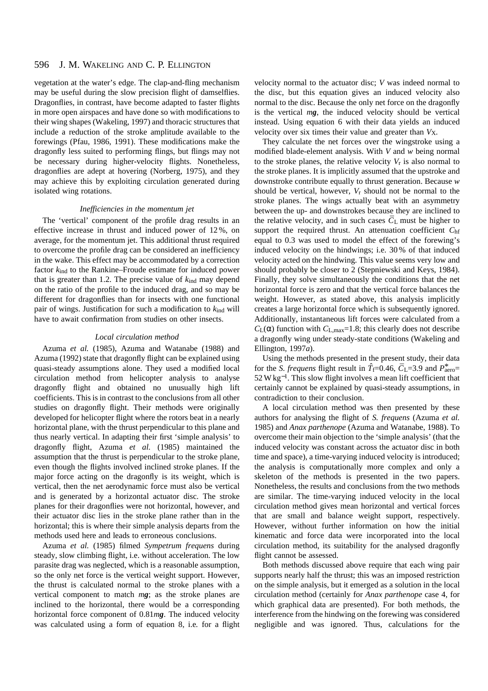vegetation at the water's edge. The clap-and-fling mechanism may be useful during the slow precision flight of damselflies. Dragonflies, in contrast, have become adapted to faster flights in more open airspaces and have done so with modifications to their wing shapes (Wakeling, 1997) and thoracic structures that include a reduction of the stroke amplitude available to the forewings (Pfau, 1986, 1991). These modifications make the dragonfly less suited to performing flings, but flings may not be necessary during higher-velocity flights. Nonetheless, dragonflies are adept at hovering (Norberg, 1975), and they may achieve this by exploiting circulation generated during isolated wing rotations.

### *Inefficiencies in the momentum jet*

The 'vertical' component of the profile drag results in an effective increase in thrust and induced power of 12 %, on average, for the momentum jet. This additional thrust required to overcome the profile drag can be considered an inefficiency in the wake. This effect may be accommodated by a correction factor *k*ind to the Rankine–Froude estimate for induced power that is greater than 1.2. The precise value of *k*ind may depend on the ratio of the profile to the induced drag, and so may be different for dragonflies than for insects with one functional pair of wings. Justification for such a modification to *k*ind will have to await confirmation from studies on other insects.

# *Local circulation method*

Azuma *et al.* (1985), Azuma and Watanabe (1988) and Azuma (1992) state that dragonfly flight can be explained using quasi-steady assumptions alone. They used a modified local circulation method from helicopter analysis to analyse dragonfly flight and obtained no unusually high lift coefficients. This is in contrast to the conclusions from all other studies on dragonfly flight. Their methods were originally developed for helicopter flight where the rotors beat in a nearly horizontal plane, with the thrust perpendicular to this plane and thus nearly vertical. In adapting their first 'simple analysis' to dragonfly flight, Azuma *et al.* (1985) maintained the assumption that the thrust is perpendicular to the stroke plane, even though the flights involved inclined stroke planes. If the major force acting on the dragonfly is its weight, which is vertical, then the net aerodynamic force must also be vertical and is generated by a horizontal actuator disc. The stroke planes for their dragonflies were not horizontal, however, and their actuator disc lies in the stroke plane rather than in the horizontal; this is where their simple analysis departs from the methods used here and leads to erroneous conclusions.

Azuma *et al.* (1985) filmed *Sympetrum frequens* during steady, slow climbing flight, i.e. without acceleration. The low parasite drag was neglected, which is a reasonable assumption, so the only net force is the vertical weight support. However, the thrust is calculated normal to the stroke planes with a vertical component to match *mg*; as the stroke planes are inclined to the horizontal, there would be a corresponding horizontal force component of 0.81*mg*. The induced velocity was calculated using a form of equation 8, i.e*.* for a flight velocity normal to the actuator disc; *V* was indeed normal to the disc, but this equation gives an induced velocity also normal to the disc. Because the only net force on the dragonfly is the vertical *mg*, the induced velocity should be vertical instead. Using equation 6 with their data yields an induced velocity over six times their value and greater than  $V_X$ .

They calculate the net forces over the wingstroke using a modified blade-element analysis. With *V* and *w* being normal to the stroke planes, the relative velocity  $V_r$  is also normal to the stroke planes. It is implicitly assumed that the upstroke and downstroke contribute equally to thrust generation. Because *w* should be vertical, however, *V*r should not be normal to the stroke planes. The wings actually beat with an asymmetry between the up- and downstrokes because they are inclined to the relative velocity, and in such cases  $\overline{C}_{L}$  must be higher to support the required thrust. An attenuation coefficient *C*hf equal to 0.3 was used to model the effect of the forewing's induced velocity on the hindwings; i.e. 30 % of that induced velocity acted on the hindwing. This value seems very low and should probably be closer to 2 (Stepniewski and Keys, 1984). Finally, they solve simultaneously the conditions that the net horizontal force is zero and that the vertical force balances the weight. However, as stated above, this analysis implicitly creates a large horizontal force which is subsequently ignored. Additionally, instantaneous lift forces were calculated from a  $C_L(\alpha)$  function with  $C_{L,\text{max}}=1.8$ ; this clearly does not describe a dragonfly wing under steady-state conditions (Wakeling and Ellington, 1997*a*).

Using the methods presented in the present study, their data for the *S. frequens* flight result in  $\hat{T}_{f=0.46}$ ,  $\overline{C}_{L=3.9}$  and  $P_{\text{aero}}^* =$ 52Wkg<sup>−</sup>1. This slow flight involves a mean lift coefficient that certainly cannot be explained by quasi-steady assumptions, in contradiction to their conclusion.

A local circulation method was then presented by these authors for analysing the flight of *S. frequens* (Azuma *et al.* 1985) and *Anax parthenope* (Azuma and Watanabe, 1988). To overcome their main objection to the 'simple analysis' (that the induced velocity was constant across the actuator disc in both time and space), a time-varying induced velocity is introduced; the analysis is computationally more complex and only a skeleton of the methods is presented in the two papers. Nonetheless, the results and conclusions from the two methods are similar. The time-varying induced velocity in the local circulation method gives mean horizontal and vertical forces that are small and balance weight support, respectively. However, without further information on how the initial kinematic and force data were incorporated into the local circulation method, its suitability for the analysed dragonfly flight cannot be assessed.

Both methods discussed above require that each wing pair supports nearly half the thrust; this was an imposed restriction on the simple analysis, but it emerged as a solution in the local circulation method (certainly for *Anax parthenope* case 4, for which graphical data are presented). For both methods, the interference from the hindwing on the forewing was considered negligible and was ignored. Thus, calculations for the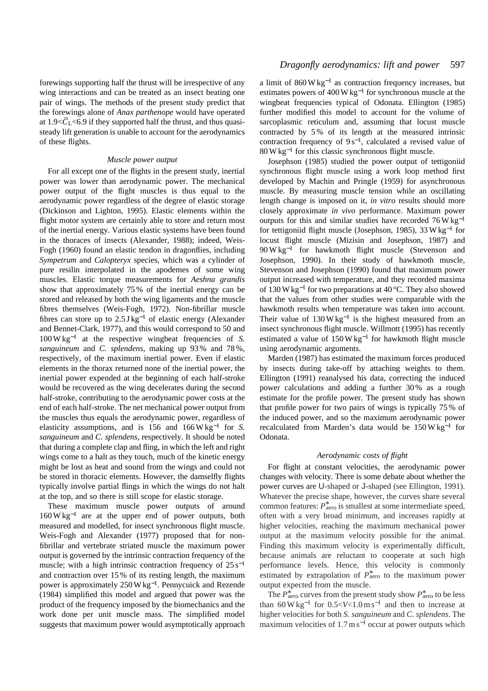forewings supporting half the thrust will be irrespective of any wing interactions and can be treated as an insect beating one pair of wings. The methods of the present study predict that the forewings alone of *Anax parthenope* would have operated at  $1.9 < \bar{C}_L < 6.9$  if they supported half the thrust, and thus quasisteady lift generation is unable to account for the aerodynamics of these flights.

# *Muscle power output*

For all except one of the flights in the present study, inertial power was lower than aerodynamic power. The mechanical power output of the flight muscles is thus equal to the aerodynamic power regardless of the degree of elastic storage (Dickinson and Lighton, 1995). Elastic elements within the flight motor system are certainly able to store and return most of the inertial energy. Various elastic systems have been found in the thoraces of insects (Alexander, 1988); indeed, Weis-Fogh (1960) found an elastic tendon in dragonflies, including *Sympetrum* and *Calopteryx* species, which was a cylinder of pure resilin interpolated in the apodemes of some wing muscles. Elastic torque measurements for *Aeshna grandis* show that approximately 75 % of the inertial energy can be stored and released by both the wing ligaments and the muscle fibres themselves (Weis-Fogh, 1972). Non-fibrillar muscle fibres can store up to 2.5 J kg−<sup>1</sup> of elastic energy (Alexander and Bennet-Clark, 1977), and this would correspond to 50 and 100Wkg−<sup>1</sup> at the respective wingbeat frequencies of *S. sanguineum* and *C. splendens*, making up 93 % and 78 %, respectively, of the maximum inertial power. Even if elastic elements in the thorax returned none of the inertial power, the inertial power expended at the beginning of each half-stroke would be recovered as the wing decelerates during the second half-stroke, contributing to the aerodynamic power costs at the end of each half-stroke. The net mechanical power output from the muscles thus equals the aerodynamic power, regardless of elasticity assumptions, and is 156 and 166Wkg−<sup>1</sup> for *S. sanguineum* and *C. splendens*, respectively. It should be noted that during a complete clap and fling, in which the left and right wings come to a halt as they touch, much of the kinetic energy might be lost as heat and sound from the wings and could not be stored in thoracic elements. However, the damselfly flights typically involve partial flings in which the wings do not halt at the top, and so there is still scope for elastic storage.

These maximum muscle power outputs of around 160Wkg−<sup>1</sup> are at the upper end of power outputs, both measured and modelled, for insect synchronous flight muscle. Weis-Fogh and Alexander (1977) proposed that for nonfibrillar and vertebrate striated muscle the maximum power output is governed by the intrinsic contraction frequency of the muscle; with a high intrinsic contraction frequency of  $25 s^{-1}$ and contraction over 15 % of its resting length, the maximum power is approximately 250Wkg<sup>−</sup>1. Pennycuick and Rezende (1984) simplified this model and argued that power was the product of the frequency imposed by the biomechanics and the work done per unit muscle mass. The simplified model suggests that maximum power would asymptotically approach

# *Dragonfly aerodynamics: lift and power* 597

a limit of 860Wkg−<sup>1</sup> as contraction frequency increases, but estimates powers of 400Wkg−<sup>1</sup> for synchronous muscle at the wingbeat frequencies typical of Odonata. Ellington (1985) further modified this model to account for the volume of sarcoplasmic reticulum and, assuming that locust muscle contracted by 5 % of its length at the measured intrinsic contraction frequency of 9 s<sup>−</sup>1, calculated a revised value of  $80\,\text{W}\,\text{kg}^{-1}$  for this classic synchronous flight muscle.

Josephson (1985) studied the power output of tettigoniid synchronous flight muscle using a work loop method first developed by Machin and Pringle (1959) for asynchronous muscle. By measuring muscle tension while an oscillating length change is imposed on it, *in vitro* results should more closely approximate *in vivo* performance. Maximum power outputs for this and similar studies have recorded  $76Wkg^{-1}$ for tettigoniid flight muscle (Josephson, 1985), 33Wkg−<sup>1</sup> for locust flight muscle (Mizisin and Josephson, 1987) and 90Wkg−<sup>1</sup> for hawkmoth flight muscle (Stevenson and Josephson, 1990). In their study of hawkmoth muscle, Stevenson and Josephson (1990) found that maximum power output increased with temperature, and they recorded maxima of 130Wkg−<sup>1</sup> for two preparations at 40 °C. They also showed that the values from other studies were comparable with the hawkmoth results when temperature was taken into account. Their value of  $130 \text{ W kg}^{-1}$  is the highest measured from an insect synchronous flight muscle. Willmott (1995) has recently estimated a value of  $150 \text{ W kg}^{-1}$  for hawkmoth flight muscle using aerodynamic arguments.

Marden (1987) has estimated the maximum forces produced by insects during take-off by attaching weights to them. Ellington (1991) reanalysed his data, correcting the induced power calculations and adding a further 30 % as a rough estimate for the profile power. The present study has shown that profile power for two pairs of wings is typically 75 % of the induced power, and so the maximum aerodynamic power recalculated from Marden's data would be 150Wkg−<sup>1</sup> for Odonata.

#### *Aerodynamic costs of flight*

For flight at constant velocities, the aerodynamic power changes with velocity. There is some debate about whether the power curves are U-shaped or J-shaped (see Ellington, 1991). Whatever the precise shape, however, the curves share several common features:  $P_{\text{aero}}^*$  is smallest at some intermediate speed, often with a very broad minimum, and increases rapidly at higher velocities, reaching the maximum mechanical power output at the maximum velocity possible for the animal. Finding this maximum velocity is experimentally difficult, because animals are reluctant to cooperate at such high performance levels. Hence, this velocity is commonly estimated by extrapolation of  $P_{\text{aero}}^{*}$  to the maximum power output expected from the muscle.

The  $P^*_{\text{aero}}$  curves from the present study show  $P^*_{\text{aero}}$  to be less than  $60 \text{ W kg}^{-1}$  for  $0.5 < V < 1.0 \text{ m s}^{-1}$  and then to increase at higher velocities for both *S. sanguineum* and *C. splendens*. The maximum velocities of  $1.7 \text{ m s}^{-1}$  occur at power outputs which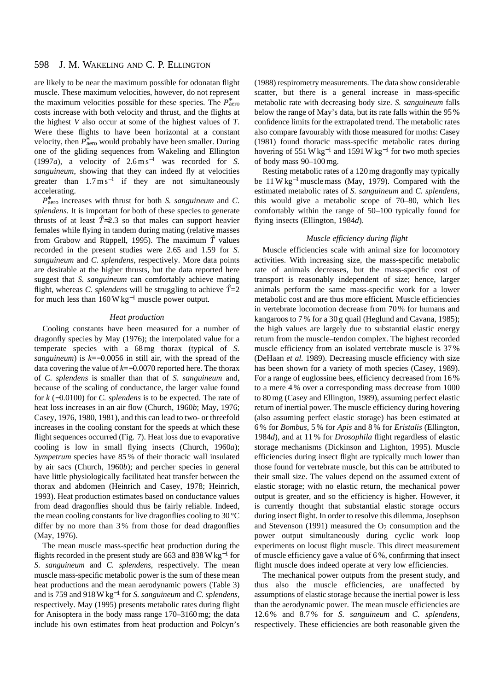are likely to be near the maximum possible for odonatan flight muscle. These maximum velocities, however, do not represent the maximum velocities possible for these species. The  $P_{\text{aero}}^*$ costs increase with both velocity and thrust, and the flights at the highest *V* also occur at some of the highest values of *T*. Were these flights to have been horizontal at a constant velocity, then  $P_{\text{aero}}^*$  would probably have been smaller. During one of the gliding sequences from Wakeling and Ellington (1997*a*), a velocity of 2.6ms−<sup>1</sup> was recorded for *S. sanguineum*, showing that they can indeed fly at velocities greater than  $1.7 \text{ m s}^{-1}$  if they are not simultaneously accelerating.

*P*\*aero increases with thrust for both *S. sanguineum* and *C. splendens*. It is important for both of these species to generate thrusts of at least  $\hat{T} \approx 2.3$  so that males can support heavier females while flying in tandem during mating (relative masses from Grabow and Rüppell, 1995). The maximum  $\hat{T}$  values recorded in the present studies were 2.65 and 1.59 for *S. sanguineum* and *C. splendens*, respectively. More data points are desirable at the higher thrusts, but the data reported here suggest that *S. sanguineum* can comfortably achieve mating flight, whereas *C. splendens* will be struggling to achieve  $\hat{T} = 2$ for much less than  $160 \text{ W kg}^{-1}$  muscle power output.

# *Heat production*

Cooling constants have been measured for a number of dragonfly species by May (1976); the interpolated value for a temperate species with a 68mg thorax (typical of *S. sanguineum*) is  $k=−0.0056$  in still air, with the spread of the data covering the value of *k*=−0.0070 reported here. The thorax of *C. splendens* is smaller than that of *S. sanguineum* and, because of the scaling of conductance, the larger value found for *k* (−0.0100) for *C. splendens* is to be expected. The rate of heat loss increases in an air flow (Church, 1960*b*; May, 1976; Casey, 1976, 1980, 1981), and this can lead to two- or threefold increases in the cooling constant for the speeds at which these flight sequences occurred (Fig. 7). Heat loss due to evaporative cooling is low in small flying insects (Church, 1960*a*); *Sympetrum* species have 85 % of their thoracic wall insulated by air sacs (Church, 1960*b*); and percher species in general have little physiologically facilitated heat transfer between the thorax and abdomen (Heinrich and Casey, 1978; Heinrich, 1993). Heat production estimates based on conductance values from dead dragonflies should thus be fairly reliable. Indeed, the mean cooling constants for live dragonflies cooling to 30 °C differ by no more than 3 % from those for dead dragonflies (May, 1976).

The mean muscle mass-specific heat production during the flights recorded in the present study are 663 and 838 W kg<sup>-1</sup> for *S. sanguineum* and *C. splendens*, respectively. The mean muscle mass-specific metabolic power is the sum of these mean heat productions and the mean aerodynamic powers (Table 3) and is 759 and 918Wkg−<sup>1</sup> for *S. sanguineum* and *C. splendens*, respectively. May (1995) presents metabolic rates during flight for Anisoptera in the body mass range 170–3160mg; the data include his own estimates from heat production and Polcyn's (1988) respirometry measurements. The data show considerable scatter, but there is a general increase in mass-specific metabolic rate with decreasing body size. *S. sanguineum* falls below the range of May's data, but its rate falls within the 95% confidence limits for the extrapolated trend. The metabolic rates also compare favourably with those measured for moths: Casey (1981) found thoracic mass-specific metabolic rates during hovering of 551 W kg<sup>-1</sup> and 1591 W kg<sup>-1</sup> for two moth species of body mass 90–100mg.

Resting metabolic rates of a 120mg dragonfly may typically be 11Wkg<sup>−</sup>1musclemass (May, 1979). Compared with the estimated metabolic rates of *S. sanguineum* and *C. splendens*, this would give a metabolic scope of 70–80, which lies comfortably within the range of 50–100 typically found for flying insects (Ellington, 1984*d*).

# *Muscle efficiency during flight*

Muscle efficiencies scale with animal size for locomotory activities. With increasing size, the mass-specific metabolic rate of animals decreases, but the mass-specific cost of transport is reasonably independent of size; hence, larger animals perform the same mass-specific work for a lower metabolic cost and are thus more efficient. Muscle efficiencies in vertebrate locomotion decrease from 70 % for humans and kangaroos to 7 % for a 30 g quail (Heglund and Cavana, 1985); the high values are largely due to substantial elastic energy return from the muscle–tendon complex. The highest recorded muscle efficiency from an isolated vertebrate muscle is 37 % (DeHaan *et al.* 1989). Decreasing muscle efficiency with size has been shown for a variety of moth species (Casey, 1989). For a range of euglossine bees, efficiency decreased from 16 % to a mere 4 % over a corresponding mass decrease from 1000 to 80mg (Casey and Ellington, 1989), assuming perfect elastic return of inertial power. The muscle efficiency during hovering (also assuming perfect elastic storage) has been estimated at 6 % for *Bombus*, 5 % for *Apis* and 8 % for *Eristalis* (Ellington, 1984*d*), and at 11 % for *Drosophila* flight regardless of elastic storage mechanisms (Dickinson and Lighton, 1995). Muscle efficiencies during insect flight are typically much lower than those found for vertebrate muscle, but this can be attributed to their small size. The values depend on the assumed extent of elastic storage; with no elastic return, the mechanical power output is greater, and so the efficiency is higher. However, it is currently thought that substantial elastic storage occurs during insect flight. In order to resolve this dilemma, Josephson and Stevenson (1991) measured the  $O<sub>2</sub>$  consumption and the power output simultaneously during cyclic work loop experiments on locust flight muscle. This direct measurement of muscle efficiency gave a value of 6 %, confirming that insect flight muscle does indeed operate at very low efficiencies.

The mechanical power outputs from the present study, and thus also the muscle efficiencies, are unaffected by assumptions of elastic storage because the inertial power is less than the aerodynamic power. The mean muscle efficiencies are 12.6 % and 8.7 % for *S. sanguineum* and *C. splendens*, respectively. These efficiencies are both reasonable given the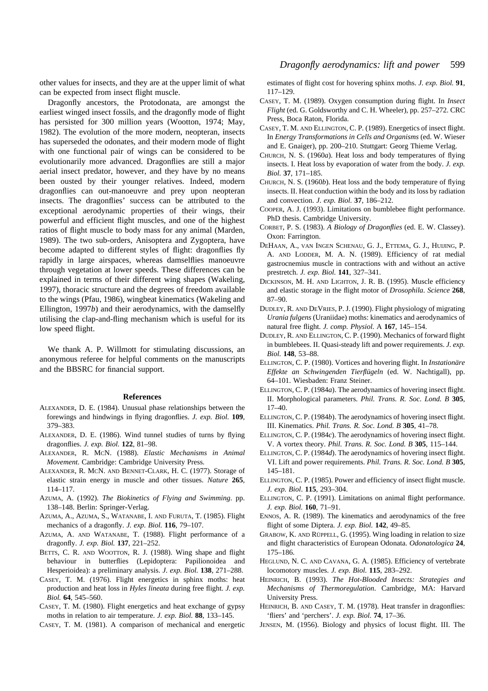other values for insects, and they are at the upper limit of what can be expected from insect flight muscle.

Dragonfly ancestors, the Protodonata, are amongst the earliest winged insect fossils, and the dragonfly mode of flight has persisted for 300 million years (Wootton, 1974; May, 1982). The evolution of the more modern, neopteran, insects has superseded the odonates, and their modern mode of flight with one functional pair of wings can be considered to be evolutionarily more advanced. Dragonflies are still a major aerial insect predator, however, and they have by no means been ousted by their younger relatives. Indeed, modern dragonflies can out-manoeuvre and prey upon neopteran insects. The dragonflies' success can be attributed to the exceptional aerodynamic properties of their wings, their powerful and efficient flight muscles, and one of the highest ratios of flight muscle to body mass for any animal (Marden, 1989). The two sub-orders, Anisoptera and Zygoptera, have become adapted to different styles of flight: dragonflies fly rapidly in large airspaces, whereas damselflies manoeuvre through vegetation at lower speeds. These differences can be explained in terms of their different wing shapes (Wakeling, 1997), thoracic structure and the degrees of freedom available to the wings (Pfau, 1986), wingbeat kinematics (Wakeling and Ellington, 1997*b*) and their aerodynamics, with the damselfly utilising the clap-and-fling mechanism which is useful for its low speed flight.

We thank A. P. Willmott for stimulating discussions, an anonymous referee for helpful comments on the manuscripts and the BBSRC for financial support.

### **References**

- ALEXANDER, D. E. (1984). Unusual phase relationships between the forewings and hindwings in flying dragonflies. *J. exp. Biol.* **109**, 379–383.
- ALEXANDER, D. E. (1986). Wind tunnel studies of turns by flying dragonflies. *J. exp. Biol.* **122**, 81–98.
- ALEXANDER, R. MCN. (1988). *Elastic Mechanisms in Animal Movement*. Cambridge: Cambridge University Press.
- ALEXANDER, R. MCN. AND BENNET-CLARK, H. C. (1977). Storage of elastic strain energy in muscle and other tissues. *Nature* **265**, 114–117.
- AZUMA, A. (1992). *The Biokinetics of Flying and Swimming*. pp. 138–148. Berlin: Springer-Verlag.
- AZUMA, A., AZUMA, S., WATANABE, I. AND FURUTA, T. (1985). Flight mechanics of a dragonfly. *J. exp. Biol.* **116**, 79–107.
- AZUMA, A. AND WATANABE, T. (1988). Flight performance of a dragonfly. *J. exp. Biol.* **137**, 221–252.
- BETTS, C. R. AND WOOTTON, R. J. (1988). Wing shape and flight behaviour in butterflies (Lepidoptera: Papilionoidea and Hesperioidea): a preliminary analysis. *J. exp. Biol.* **138**, 271–288.
- CASEY, T. M. (1976). Flight energetics in sphinx moths: heat production and heat loss in *Hyles lineata* during free flight. *J. exp. Biol.* **64**, 545–560.
- CASEY, T. M. (1980). Flight energetics and heat exchange of gypsy moths in relation to air temperature. *J. exp. Biol.* **88**, 133–145.
- CASEY, T. M. (1981). A comparison of mechanical and energetic

estimates of flight cost for hovering sphinx moths. *J. exp. Biol.* **91**, 117–129.

- CASEY, T. M. (1989). Oxygen consumption during flight. In *Insect Flight* (ed. G. Goldsworthy and C. H. Wheeler), pp. 257–272. CRC Press, Boca Raton, Florida.
- CASEY, T. M. AND ELLINGTON, C. P. (1989). Energetics of insect flight. In *Energy Transformations in Cells and Organisms* (ed. W. Wieser and E. Gnaiger), pp. 200–210. Stuttgart: Georg Thieme Verlag.
- CHURCH, N. S. (1960*a*). Heat loss and body temperatures of flying insects. I. Heat loss by evaporation of water from the body. *J. exp. Biol.* **37**, 171–185.
- CHURCH, N. S. (1960*b*). Heat loss and the body temperature of flying insects. II. Heat conduction within the body and its loss by radiation and convection. *J. exp. Biol.* **37**, 186–212.
- COOPER, A. J. (1993). Limitations on bumblebee flight performance. PhD thesis. Cambridge University.
- CORBET, P. S. (1983). *A Biology of Dragonflies* (ed. E. W. Classey). Oxon: Farrington.
- DEHAAN, A., VAN INGEN SCHENAU, G. J., ETTEMA, G. J., HUIJING, P. A. AND LODDER, M. A. N. (1989). Efficiency of rat medial gastrocnemius muscle in contractions with and without an active prestretch. *J. exp. Biol.* **141**, 327–341.
- DICKINSON, M. H. AND LIGHTON, J. R. B. (1995). Muscle efficiency and elastic storage in the flight motor of *Drosophila*. *Science* **268**, 87–90.
- DUDLEY, R. AND DEVRIES, P. J. (1990). Flight physiology of migrating *Urania fulgens* (Uraniidae) moths: kinematics and aerodynamics of natural free flight. *J. comp. Physiol.* A **167**, 145–154.
- DUDLEY, R. AND ELLINGTON, C. P. (1990). Mechanics of forward flight in bumblebees. II. Quasi-steady lift and power requirements. *J. exp. Biol.* **148**, 53–88.
- ELLINGTON, C. P. (1980). Vortices and hovering flight. In *Instationäre Effekte an Schwingenden Tierflügeln* (ed. W. Nachtigall), pp. 64–101. Wiesbaden: Franz Steiner.
- ELLINGTON, C. P. (1984*a*). The aerodynamics of hovering insect flight. II. Morphological parameters. *Phil. Trans. R. Soc. Lond. B* **305**, 17–40.
- ELLINGTON, C. P. (1984*b*). The aerodynamics of hovering insect flight. III. Kinematics. *Phil. Trans. R. Soc. Lond. B* **305**, 41–78.
- ELLINGTON, C. P. (1984*c*). The aerodynamics of hovering insect flight. V. A vortex theory. *Phil. Trans. R. Soc. Lond. B* **305**, 115–144.
- ELLINGTON, C. P. (1984*d*). The aerodynamics of hovering insect flight. VI. Lift and power requirements. *Phil. Trans. R. Soc. Lond. B* **305**, 145–181.
- ELLINGTON, C. P. (1985). Power and efficiency of insect flight muscle. *J. exp. Biol*. **115**, 293–304.
- ELLINGTON, C. P. (1991). Limitations on animal flight performance. *J. exp. Biol.* **160**, 71–91.
- ENNOS, A. R. (1989). The kinematics and aerodynamics of the free flight of some Diptera. *J. exp. Biol.* **142**, 49–85.
- GRABOW, K. AND RÜPPELL, G. (1995). Wing loading in relation to size and flight characteristics of European Odonata. *Odonatologica* **24**, 175–186.
- HEGLUND, N. C. AND CAVANA, G. A. (1985). Efficiency of vertebrate locomotory muscles. *J. exp. Biol.* **115**, 283–292.
- HEINRICH, B. (1993). *The Hot-Blooded Insects: Strategies and Mechanisms of Thermoregulation*. Cambridge, MA: Harvard University Press.
- HEINRICH, B. AND CASEY, T. M. (1978). Heat transfer in dragonflies: 'fliers' and 'perchers'. *J. exp. Biol.* **74**, 17–36.
- JENSEN, M. (1956). Biology and physics of locust flight. III. The